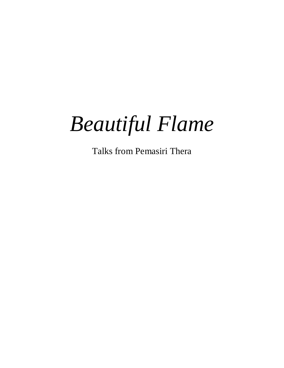# *Beautiful Flame*

Talks from Pemasiri Thera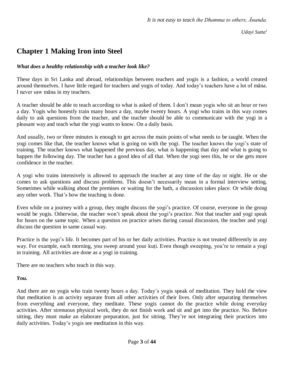*Udayi Sutta<sup>1</sup>*

# **Chapter 1 Making Iron into Steel**

#### *What does a healthy relationship with a teacher look like?*

These days in Sri Lanka and abroad, relationships between teachers and yogis is a fashion, a world created around themselves. I have little regard for teachers and yogis of today. And today's teachers have a lot of māna. I never saw māna in my teachers.

A teacher should be able to teach according to what is asked of them. I don't mean yogis who sit an hour or two a day. Yogis who honestly train many hours a day, maybe twenty hours. A yogi who trains in this way comes daily to ask questions from the teacher, and the teacher should be able to communicate with the yogi in a pleasant way and teach what the yogi wants to know. On a daily basis.

And usually, two or three minutes is enough to get across the main points of what needs to be taught. When the yogi comes like that, the teacher knows what is going on with the yogi. The teacher knows the yogi's state of training. The teacher knows what happened the previous day, what is happening that day and what is going to happen the following day. The teacher has a good idea of all that. When the yogi sees this, he or she gets more confidence in the teacher.

A yogi who trains intensively is allowed to approach the teacher at any time of the day or night. He or she comes to ask questions and discuss problems. This doesn't necessarily mean in a formal interview setting. Sometimes while walking about the premises or waiting for the bath, a discussion takes place. Or while doing any other work. That's how the teaching is done.

Even while on a journey with a group, they might discuss the yogi's practice. Of course, everyone in the group would be yogis. Otherwise, the teacher won't speak about the yogi's practice. Not that teacher and yogi speak for hours on the same topic. When a question on practice arises during casual discussion, the teacher and yogi discuss the question in same casual way.

Practice is the yogi's life. It becomes part of his or her daily activities. Practice is not treated differently in any way. For example, each morning, you sweep around your kuṭi. Even though sweeping, you're to remain a yogi in training. All activities are done as a yogi in training.

There are no teachers who teach in this way.

#### *You.*

And there are no yogis who train twenty hours a day. Today's yogis speak of meditation. They hold the view that meditation is an activity separate from all other activities of their lives. Only after separating themselves from everything and everyone, they meditate. These yogis cannot do the practice while doing everyday activities. After strenuous physical work, they do not finish work and sit and get into the practice. No. Before sitting, they must make an elaborate preparation, just for sitting. They're not integrating their practices into daily activities. Today's yogis see meditation in this way.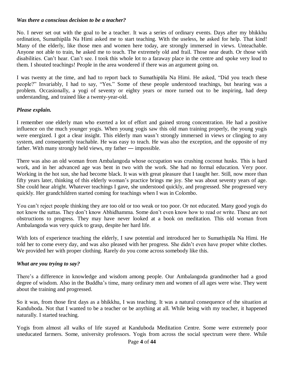#### *Was there a conscious decision to be a teacher?*

No. I never set out with the goal to be a teacher. It was a series of ordinary events. Days after my bhikkhu ordination, Sumathipāla Na Himi asked me to start teaching. With the useless, he asked for help. That kind! Many of the elderly, like those men and women here today, are strongly immersed in views. Unteachable. Anyone not able to train, he asked me to teach. The extremely old and frail. Those near death. Or those with disabilities. Can't hear. Can't see. I took this whole lot to a faraway place in the centre and spoke very loud to them. I shouted teachings! People in the area wondered if there was an argument going on.

I was twenty at the time, and had to report back to Sumathipāla Na Himi. He asked, "Did you teach these people?" Invariably, I had to say, "Yes." Some of these people understood teachings, but hearing was a problem. Occasionally, a yogi of seventy or eighty years or more turned out to be inspiring, had deep understanding, and trained like a twenty-year-old.

#### *Please explain.*

I remember one elderly man who exerted a lot of effort and gained strong concentration. He had a positive influence on the much younger yogis. When young yogis saw this old man training properly, the young yogis were energized. I got a clear insight. This elderly man wasn't strongly immersed in views or clinging to any system, and consequently teachable. He was easy to teach. He was also the exception, and the opposite of my father. With many strongly held views, my father — impossible.

There was also an old woman from Ambalangoda whose occupation was crushing coconut husks. This is hard work, and in her advanced age was bent in two with the work. She had no formal education. Very poor. Working in the hot sun, she had become black. It was with great pleasure that I taught her. Still, now more than fifty years later, thinking of this elderly woman's practice brings me joy. She was about seventy years of age. She could hear alright. Whatever teachings I gave, she understood quickly, and progressed. She progressed very quickly. Her grandchildren started coming for teachings when I was in Colombo.

You can't reject people thinking they are too old or too weak or too poor. Or not educated. Many good yogis do not know the suttas. They don't know Abhidhamma. Some don't even know how to read or write. These are not obstructions to progress. They may have never looked at a book on meditation. This old woman from Ambalangoda was very quick to grasp, despite her hard life.

With lots of experience teaching the elderly, I saw potential and introduced her to Sumathipāla Na Himi. He told her to come every day, and was also pleased with her progress. She didn't even have proper white clothes. We provided her with proper clothing. Rarely do you come across somebody like this.

#### *What are you trying to say?*

There's a difference in knowledge and wisdom among people. Our Ambalangoda grandmother had a good degree of wisdom. Also in the Buddha's time, many ordinary men and women of all ages were wise. They went about the training and progressed.

So it was, from those first days as a bhikkhu, I was teaching. It was a natural consequence of the situation at Kanduboda. Not that I wanted to be a teacher or be anything at all. While being with my teacher, it happened naturally. I started teaching.

Yogis from almost all walks of life stayed at Kanduboda Meditation Centre. Some were extremely poor uneducated farmers. Some, university professors. Yogis from across the social spectrum were there. While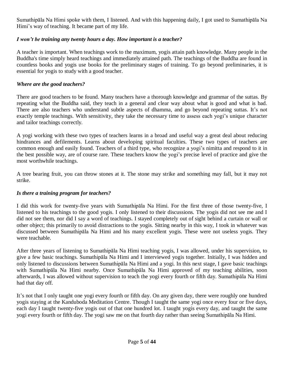Sumathipāla Na Himi spoke with them, I listened. And with this happening daily, I got used to Sumathipāla Na Himi's way of teaching. It became part of my life.

# *I won't be training any twenty hours a day. How important is a teacher?*

A teacher is important. When teachings work to the maximum, yogis attain path knowledge. Many people in the Buddha's time simply heard teachings and immediately attained path. The teachings of the Buddha are found in countless books and yogis use books for the preliminary stages of training. To go beyond preliminaries, it is essential for yogis to study with a good teacher.

#### *Where are the good teachers?*

There are good teachers to be found. Many teachers have a thorough knowledge and grammar of the suttas. By repeating what the Buddha said, they teach in a general and clear way about what is good and what is bad. There are also teachers who understand subtle aspects of dhamma, and go beyond repeating suttas. It's not exactly temple teachings. With sensitivity, they take the necessary time to assess each yogi's unique character and tailor teachings correctly.

A yogi working with these two types of teachers learns in a broad and useful way a great deal about reducing hindrances and defilements. Learns about developing spiritual faculties. These two types of teachers are common enough and easily found. Teachers of a third type, who recognize a yogi's nimitta and respond to it in the best possible way, are of course rare. These teachers know the yogi's precise level of practice and give the most worthwhile teachings.

A tree bearing fruit, you can throw stones at it. The stone may strike and something may fall, but it may not strike.

# *Is there a training program for teachers?*

I did this work for twenty-five years with Sumathipāla Na Himi. For the first three of those twenty-five, I listened to his teachings to the good yogis. I only listened to their discussions. The yogis did not see me and I did not see them, nor did I say a word of teachings. I stayed completely out of sight behind a curtain or wall or other object; this primarily to avoid distractions to the yogis. Sitting nearby in this way, I took in whatever was discussed between Sumathipāla Na Himi and his many excellent yogis. These were not useless yogis. They were teachable.

After three years of listening to Sumathipāla Na Himi teaching yogis, I was allowed, under his supervision, to give a few basic teachings. Sumathipāla Na Himi and I interviewed yogis together. Initially, I was hidden and only listened to discussions between Sumathipāla Na Himi and a yogi. In this next stage, I gave basic teachings with Sumathipāla Na Himi nearby. Once Sumathipāla Na Himi approved of my teaching abilities, soon afterwards, I was allowed without supervision to teach the yogi every fourth or fifth day. Sumathipāla Na Himi had that day off.

It's not that I only taught one yogi every fourth or fifth day. On any given day, there were roughly one hundred yogis staying at the Kanduboda Meditation Centre. Though I taught the same yogi once every four or five days, each day I taught twenty-five yogis out of that one hundred lot. I taught yogis every day, and taught the same yogi every fourth or fifth day. The yogi saw me on that fourth day rather than seeing Sumathipāla Na Himi.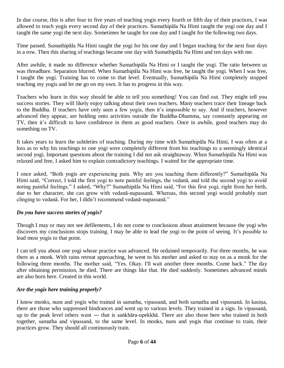In due course, this is after four to five years of teaching yogis every fourth or fifth day of their practices, I was allowed to teach yogis every second day of their practices. Sumathipāla Na Himi taught the yogi one day and I taught the same yogi the next day. Sometimes he taught for one day and I taught for the following two days.

Time passed. Sumathipāla Na Himi taught the yogi for his one day and I began teaching for the next four days in a row. Then this sharing of teachings became one day with Sumathipāla Na Himi and ten days with me.

After awhile, it made no difference whether Sumathipāla Na Himi or I taught the yogi. The ratio between us was threadbare. Separation blurred. When Sumathipāla Na Himi was free, he taught the yogi. When I was free, I taught the yogi. Training has to come to that level. Eventually, Sumathipāla Na Himi completely stopped teaching my yogis and let me go on my own. It has to progress in this way.

Teachers who learn in this way should be able to tell you something! You can find out. They might tell you success stories. They will likely enjoy talking about their own teachers. Many teachers trace their lineage back to the Buddha. If teachers have only seen a few yogis, then it's impossible to say. And if teachers, however advanced they appear, are holding onto activities outside the Buddha-Dhamma, say constantly appearing on TV, then it's difficult to have confidence in them as good teachers. Once in awhile, good teachers may do something on TV.

It takes years to learn the subtleties of teaching. During my time with Sumathipāla Na Himi, I was often at a loss as to why his teachings to one yogi were completely different from his teachings to a seemingly identical second yogi. Important questions about the training I did not ask straightaway. When Sumathipāla Na Himi was relaxed and free, I asked him to explain contradictory teachings. I waited for the appropriate time.

I once asked, "Both yogis are experiencing pain. Why are you teaching them differently?" Sumathipāla Na Himi said, "Correct, I told the first yogi to note painful feelings, the vedanā, and told the second yogi to avoid noting painful feelings." I asked, "Why?" Sumathipāla Na Himi said, "For this first yogi, right from her birth, due to her character, she can grow with vedanā-nupassanā. Whereas, this second yogi would probably start clinging to vedanā. For her, I didn't recommend vedanā-nupassanā."

# *Do you have success stories of yogis?*

Though I may or may not see defilements, I do not come to conclusions about attainment because the yogi who discovers my conclusions stops training. I may be able to lead the yogi to the point of seeing. It's possible to lead most yogis to that point.

I can tell you about one yogi whose practice was advanced. He ordained temporarily. For three months, he was there as a monk. With rains retreat approaching, he went to his mother and asked to stay on as a monk for the following three months. The mother said, "Yes. Okay. I'll wait another three months. Come back." The day after obtaining permission, he died. There are things like that. He died suddenly. Sometimes advanced minds are also born here. Created in this world.

# *Are the yogis here training properly?*

I know monks, nuns and yogis who trained in samatha, vipassanā, and both samatha and vipassanā. In kasiṇa, there are those who suppressed hindrances and went up to various levels. They trained in a sign. In vipassanā, up to the peak level others went ― that is saṅkhāra-upekkhā. There are also those here who trained in both together, samatha and vipassanā, to the same level. In monks, nuns and yogis that continue to train, their practices grow. They should all continuously train.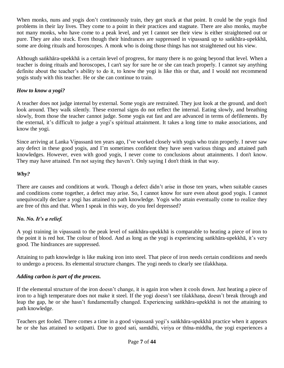When monks, nuns and yogis don't continuously train, they get stuck at that point. It could be the yogis find problems in their lay lives. They come to a point in their practices and stagnate. There are also monks, maybe not many monks, who have come to a peak level, and yet I cannot see their view is either straightened out or pure. They are also stuck. Even though their hindrances are suppressed in vipassanā up to saṅkhāra-upekkhā, some are doing rituals and horoscopes. A monk who is doing those things has not straightened out his view.

Although saṅkhāra-upekkhā is a certain level of progress, for many there is no going beyond that level. When a teacher is doing rituals and horoscopes, I can't say for sure he or she can teach properly. I cannot say anything definite about the teacher's ability to do it, to know the yogi is like this or that, and I would not recommend yogis study with this teacher. He or she can continue to train.

# *How to know a yogi?*

A teacher does not judge internal by external. Some yogis are restrained. They just look at the ground, and don't look around. They walk silently. These external signs do not reflect the internal. Eating slowly, and breathing slowly, from those the teacher cannot judge. Some yogis eat fast and are advanced in terms of defilements. By the external, it's difficult to judge a yogi's spiritual attainment. It takes a long time to make associations, and know the yogi.

Since arriving at Lanka Vipassanā ten years ago, I've worked closely with yogis who train properly. I never saw any defect in these good yogis, and I'm sometimes confident they have seen various things and attained path knowledges. However, even with good yogis, I never come to conclusions about attainments. I don't know. They may have attained. I'm not saying they haven't. Only saying I don't think in that way.

#### *Why?*

There are causes and conditions at work. Though a defect didn't arise in those ten years, when suitable causes and conditions come together, a defect may arise. So, I cannot know for sure even about good yogis. I cannot unequivocally declare a yogi has attained to path knowledge. Yogis who attain eventually come to realize they are free of this and that. When I speak in this way, do you feel depressed?

# *No. No. It's a relief.*

A yogi training in vipassanā to the peak level of saṅkhāra-upekkhā is comparable to heating a piece of iron to the point it is red hot. The colour of blood. And as long as the yogi is experiencing saṅkhāra-upekkhā, it's very good. The hindrances are suppressed.

Attaining to path knowledge is like making iron into steel. That piece of iron needs certain conditions and needs to undergo a process. Its elemental structure changes. The yogi needs to clearly see tilakkhaṇa.

# *Adding carbon is part of the process.*

If the elemental structure of the iron doesn't change, it is again iron when it cools down. Just heating a piece of iron to a high temperature does not make it steel. If the yogi doesn't see tilakkhaṇa, doesn't break through and leap the gap, he or she hasn't fundamentally changed. Experiencing saṅkhāra-upekkhā is not the attaining to path knowledge.

Teachers get fooled. There comes a time in a good vipassanā yogi's saṅkhāra-upekkhā practice when it appears he or she has attained to sotāpatti. Due to good sati, samādhi, viriya or thīna-middha, the yogi experiences a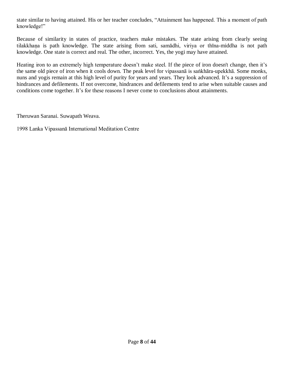state similar to having attained. His or her teacher concludes, "Attainment has happened. This a moment of path knowledge!"

Because of similarity in states of practice, teachers make mistakes. The state arising from clearly seeing tilakkhaṇa is path knowledge. The state arising from sati, samādhi, viriya or thīna-middha is not path knowledge. One state is correct and real. The other, incorrect. Yes, the yogi may have attained.

Heating iron to an extremely high temperature doesn't make steel. If the piece of iron doesn't change, then it's the same old piece of iron when it cools down. The peak level for vipassanā is saṅkhāra-upekkhā. Some monks, nuns and yogis remain at this high level of purity for years and years. They look advanced. It's a suppression of hindrances and defilements. If not overcome, hindrances and defilements tend to arise when suitable causes and conditions come together. It's for these reasons I never come to conclusions about attainments.

Theruwan Saranai. Suwapath Weava.

1998 Lanka Vipassanā International Meditation Centre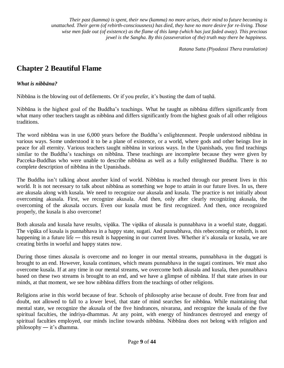*Their past (kamma) is spent, their new (kamma) no more arises, their mind to future becoming is unattached. Their germ (of rebirth-consciousness) has died, they have no more desire for re-living. Those wise men fade out (of existence) as the flame of this lamp (which has just faded away). This precious jewel is the Sangha. By this (asseveration of the) truth may there be happiness.*

*Ratana Sutta (Piyadassi Thera translation)*

# **Chapter 2 Beautiful Flame**

#### *What is nibbāna?*

Nibbāna is the blowing out of defilements. Or if you prefer, it's busting the dam of taṇhā.

Nibbāna is the highest goal of the Buddha's teachings. What he taught as nibbāna differs significantly from what many other teachers taught as nibbāna and differs significantly from the highest goals of all other religious traditions.

The word nibbāna was in use 6,000 years before the Buddha's enlightenment. People understood nibbāna in various ways. Some understood it to be a plane of existence, or a world, where gods and other beings live in peace for all eternity. Various teachers taught nibbāna in various ways. In the Upanishads, you find teachings similar to the Buddha's teachings on nibbāna. These teachings are incomplete because they were given by Pacceka-Buddhas who were unable to describe nibbāna as well as a fully enlightened Buddha. There is no complete description of nibbāna in the Upanishads.

The Buddha isn't talking about another kind of world. Nibbāna is reached through our present lives in this world. It is not necessary to talk about nibbāna as something we hope to attain in our future lives. In us, there are akusala along with kusala. We need to recognize our akusala and kusala. The practice is not initially about overcoming akusala. First, we recognize akusala. And then, only after clearly recognizing akusala, the overcoming of the akusala occurs. Even our kusala must be first recognized. And then, once recognized properly, the kusala is also overcome!

Both akusala and kusala have results, vipāka. The vipāka of akusala is punnabhava in a woeful state, duggati. The vipāka of kusala is punnabhava in a happy state, sugati. And punnabhava, this rebecoming or rebirth, is not happening in a future life — this result is happening in our current lives. Whether it's akusala or kusala, we are creating births in woeful and happy states now.

During those times akusala is overcome and no longer in our mental streams, punnabhava in the duggati is brought to an end. However, kusala continues, which means punnabhava in the sugati continues. We must also overcome kusala. If at any time in our mental streams, we overcome both akusala and kusala, then punnabhava based on these two streams is brought to an end, and we have a glimpse of nibbāna. If that state arises in our minds, at that moment, we see how nibbāna differs from the teachings of other religions.

Religions arise in this world because of fear. Schools of philosophy arise because of doubt. Free from fear and doubt, not allowed to fall to a lower level, that state of mind searches for nibbāna. While maintaining that mental state, we recognize the akusala of the five hindrances, nivarana, and recognize the kusala of the five spiritual faculties, the indriya-dhammas. At any point, with energy of hindrances destroyed and energy of spiritual faculties employed, our minds incline towards nibbāna. Nibbāna does not belong with religion and philosophy ― it's dhamma.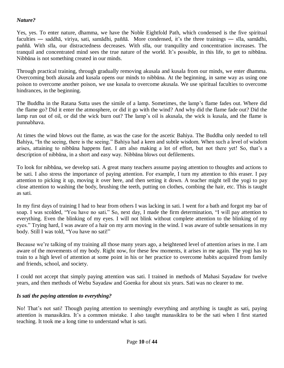#### *Nature?*

Yes, yes. To enter nature, dhamma, we have the Noble Eightfold Path, which condensed is the five spiritual faculties ― saddhā, viriya, sati, samādhi, paññā. More condensed, it's the three trainings ― sīla, samādhi, paññā. With sīla, our distractedness decreases. With sīla, our tranquility and concentration increases. The tranquil and concentrated mind sees the true nature of the world. It's possible, in this life, to get to nibbāna. Nibbāna is not something created in our minds.

Through practical training, through gradually removing akusala and kusala from our minds, we enter dhamma. Overcoming both akusala and kusala opens our minds to nibbāna. At the beginning, in same way as using one poison to overcome another poison, we use kusala to overcome akusala. We use spiritual faculties to overcome hindrances, in the beginning.

The Buddha in the Ratana Sutta uses the simile of a lamp. Sometimes, the lamp's flame fades out. Where did the flame go? Did it enter the atmosphere, or did it go with the wind? And why did the flame fade out? Did the lamp run out of oil, or did the wick burn out? The lamp's oil is akusala, the wick is kusala, and the flame is punnabhava.

At times the wind blows out the flame, as was the case for the ascetic Bahiya. The Buddha only needed to tell Bahiya, "In the seeing, there is the seeing." Bahiya had a keen and subtle wisdom. When such a level of wisdom arises, attaining to nibbāna happens fast. I am also making a lot of effort, but not there yet! So, that's a description of nibbāna, in a short and easy way. Nibbāna blows out defilements.

To look for nibbāna, we develop sati. A great many teachers assume paying attention to thoughts and actions to be sati. I also stress the importance of paying attention. For example, I turn my attention to this eraser. I pay attention to picking it up, moving it over here, and then setting it down. A teacher might tell the yogi to pay close attention to washing the body, brushing the teeth, putting on clothes, combing the hair, etc. This is taught as sati.

In my first days of training I had to hear from others I was lacking in sati. I went for a bath and forgot my bar of soap. I was scolded, "You have no sati." So, next day, I made the firm determination, "I will pay attention to everything. Even the blinking of my eyes. I will not blink without complete attention to the blinking of my eyes." Trying hard, I was aware of a hair on my arm moving in the wind. I was aware of subtle sensations in my body. Still I was told, "You have no sati!"

Because we're talking of my training all those many years ago, a heightened level of attention arises in me. I am aware of the movements of my body. Right now, for these few moments, it arises in me again. The yogi has to train to a high level of attention at some point in his or her practice to overcome habits acquired from family and friends, school, and society.

I could not accept that simply paying attention was sati. I trained in methods of Mahasi Sayadaw for twelve years, and then methods of Webu Sayadaw and Goenka for about six years. Sati was no clearer to me.

#### *Is sati the paying attention to everything?*

No! That's not sati! Though paying attention to seemingly everything and anything is taught as sati, paying attention is manasikāra. It's a common mistake. I also taught manasikāra to be the sati when I first started teaching. It took me a long time to understand what is sati.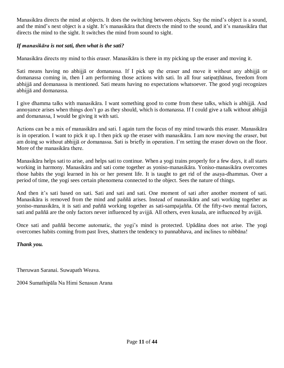Manasikāra directs the mind at objects. It does the switching between objects. Say the mind's object is a sound, and the mind's next object is a sight. It's manasikāra that directs the mind to the sound, and it's manasikāra that directs the mind to the sight. It switches the mind from sound to sight.

#### *If manasikāra is not sati, then what is the sati?*

Manasikāra directs my mind to this eraser. Manasikāra is there in my picking up the eraser and moving it.

Sati means having no abhijjā or domanassa. If I pick up the eraser and move it without any abhijjā or domanassa coming in, then I am performing those actions with sati. In all four satipatthanas, freedom from abhijjā and domanassa is mentioned. Sati means having no expectations whatsoever. The good yogi recognizes abhijjā and domanassa.

I give dhamma talks with manasikāra. I want something good to come from these talks, which is abhijjā. And annoyance arises when things don't go as they should, which is domanassa. If I could give a talk without abhijjā and domanassa, I would be giving it with sati.

Actions can be a mix of manasikāra and sati. I again turn the focus of my mind towards this eraser. Manasikāra is in operation. I want to pick it up. I then pick up the eraser with manasikāra. I am now moving the eraser, but am doing so without abhijjā or domanassa. Sati is briefly in operation. I'm setting the eraser down on the floor. More of the manasikāra there.

Manasikāra helps sati to arise, and helps sati to continue. When a yogi trains properly for a few days, it all starts working in harmony. Manasikāra and sati come together as yoniso-manasikāra. Yoniso-manasikāra overcomes those habits the yogi learned in his or her present life. It is taught to get rid of the asaya-dhammas. Over a period of time, the yogi sees certain phenomena connected to the object. Sees the nature of things.

And then it's sati based on sati. Sati and sati and sati. One moment of sati after another moment of sati. Manasikāra is removed from the mind and paññā arises. Instead of manasikāra and sati working together as yoniso-manasikāra, it is sati and paññā working together as sati-sampajañña. Of the fifty-two mental factors, sati and paññā are the only factors never influenced by avijjā. All others, even kusala, are influenced by avijjā.

Once sati and paññā become automatic, the yogi's mind is protected. Upādāna does not arise. The yogi overcomes habits coming from past lives, shatters the tendency to punnabhava, and inclines to nibbāna!

#### *Thank you.*

Theruwan Saranai. Suwapath Weava.

2004 Sumathipāla Na Himi Senasun Arana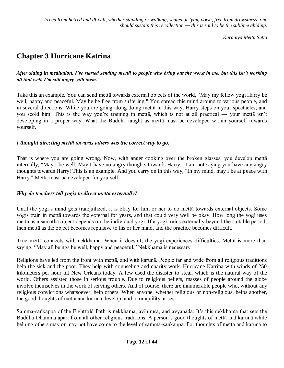*Freed from hatred and ill-will, whether standing or walking, seated or lying down, free from drowsiness, one should sustain this recollection ― this is said to be the sublime abiding.* 

*Karaniya Metta Sutta*

# **Chapter 3 Hurricane Katrina**

*After sitting in meditation, I've started sending mettā to people who bring out the worst in me, but this isn't working all that well. I'm still angry with them.* 

Take this an example. You can send mettā towards external objects of the world, "May my fellow yogi Harry be well, happy and peaceful. May he be free from suffering." You spread this mind around to various people, and in several directions. While you are going along doing mettā in this way, Harry steps on your spectacles, and you scold him! This is the way you're training in mettā, which is not at all practical ― your mettā isn't developing in a proper way. What the Buddha taught as mettā must be developed within yourself towards yourself.

#### *I thought directing mettā towards others was the correct way to go.*

That is where you are going wrong. Now, with anger cooking over the broken glasses, you develop mettā internally, "May I be well. May I have no angry thoughts towards Harry." I am not saying you have any angry thoughts towards Harry! This is an example. And you carry on in this way, "In my mind, may I be at peace with Harry." Mettā must be developed for yourself.

#### *Why do teachers tell yogis to direct mettā externally?*

Until the yogi's mind gets tranquilized, it is okay for him or her to do mettā towards external objects. Some yogis train in mettā towards the external for years, and that could very well be okay. How long the yogi uses mettā as a samatha object depends on the individual yogi. If a yogi trains externally beyond the suitable period, then mettā as the object becomes repulsive to his or her mind, and the practice becomes difficult.

True mettā connects with nekkhama. When it doesn't, the yogi experiences difficulties. Mettā is more than saying, "May all beings be well, happy and peaceful." Nekkhama is necessary.

Religions have led from the front with mettā, and with karunā. People far and wide from all religious traditions help the sick and the poor. They help with counseling and charity work. Hurricane Katrina with winds of 250 kilometers per hour hit New Orleans today. A few used the disaster to steal, which is the natural way of the world. Others assisted those in serious trouble. Due to religious beliefs, masses of people around the globe involve themselves in the work of serving others. And of course, there are innumerable people who, without any religious convictions whatsoever, help others. When anyone, whether religious or non-religious, helps another, the good thoughts of mettā and karunā develop, and a tranquility arises.

Sammā-saṅkappa of the Eightfold Path is nekkhama, avihiṃsā, and avyāpāda. It's this nekkhama that sets the Buddha-Dhamma apart from all other religious traditions. A person's good thoughts of mettā and karunā while helping others may or may not have come to the level of sammā-saṅkappa. For thoughts of mettā and karunā to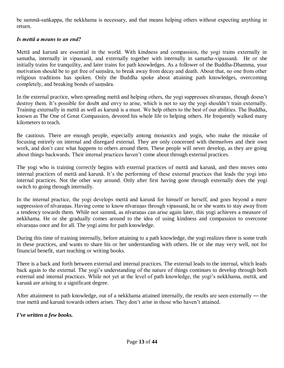be sammā-saṅkappa, the nekkhama is necessary, and that means helping others without expecting anything in return.

#### *Is mettā a means to an end?*

Mettā and karunā are essential in the world. With kindness and compassion, the yogi trains externally in samatha, internally in vipassanā, and externally together with internally in samatha-vipassanā. He or she initially trains for tranquility, and later trains for path knowledges. As a follower of the Buddha-Dhamma, your motivation should be to get free of saṃsāra, to break away from decay and death. About that, no one from other religious traditions has spoken. Only the Buddha spoke about attaining path knowledges, overcoming completely, and breaking bonds of saṃsāra.

In the external practice, when spreading mettā and helping others, the yogi suppresses nīvaraṇas, though doesn't destroy them. It's possible for doubt and envy to arise, which is not to say the yogi shouldn't train externally. Training externally in mettā as well as karunā is a must. We help others to the best of our abilities. The Buddha, known as The One of Great Compassion, devoted his whole life to helping others. He frequently walked many kilometers to teach.

Be cautious. There are enough people, especially among monastics and yogis, who make the mistake of focusing entirely on internal and disregard external. They are only concerned with themselves and their own work, and don't care what happens to others around them. These people will never develop, as they are going about things backwards. Their internal practices haven't come about through external practices.

The yogi who is training correctly begins with external practices of mettā and karunā, and then moves onto internal practices of mettā and karunā. It's the performing of these external practices that leads the yogi into internal practices. Not the other way around. Only after first having gone through externally does the yogi switch to going through internally.

In the internal practice, the yogi develops mettā and karunā for himself or herself, and goes beyond a mere suppression of nīvaraṇas. Having come to know nīvaraṇas through vipassanā, he or she wants to stay away from a tendency towards them. While not sammā, as nīvaraṇas can arise again later, this yogi achieves a measure of nekkhama. He or she gradually comes around to the idea of using kindness and compassion to overcome nīvaraṇas once and for all. The yogi aims for path knowledge.

During this time of training internally, before attaining to a path knowledge, the yogi realizes there is some truth in these practices, and wants to share his or her understanding with others. He or she may very well, not for financial benefit, start teaching or writing books.

There is a back and forth between external and internal practices. The external leads to the internal, which leads back again to the external. The yogi's understanding of the nature of things continues to develop through both external and internal practices. While not yet at the level of path knowledge, the yogi's nekkhama, mettā, and karunā are arising to a significant degree.

After attainment to path knowledge, out of a nekkhama attained internally, the results are seen externally ― the true mettā and karunā towards others arises. They don't arise in those who haven't attained.

*I've written a few books.*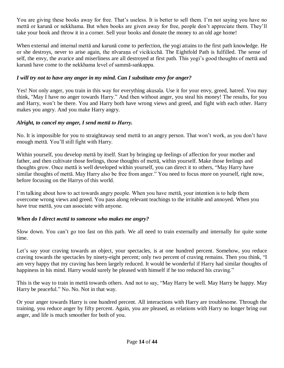You are giving these books away for free. That's useless. It is better to sell them. I'm not saying you have no mettā or karunā or nekkhama. But when books are given away for free, people don't appreciate them. They'll take your book and throw it in a corner. Sell your books and donate the money to an old age home!

When external and internal mettā and karunā come to perfection, the yogi attains to the first path knowledge. He or she destroys, never to arise again, the nīvaraṇa of vicikicchā. The Eightfold Path is fulfilled. The sense of self, the envy, the avarice and miserliness are all destroyed at first path. This yogi's good thoughts of mettā and karunā have come to the nekkhama level of sammā-saṅkappa.

# *I will try not to have any anger in my mind. Can I substitute envy for anger?*

Yes! Not only anger, you train in this way for everything akusala. Use it for your envy, greed, hatred. You may think, "May I have no anger towards Harry." And then without anger, you steal his money! The results, for you and Harry, won't be there. You and Harry both have wrong views and greed, and fight with each other. Harry makes you angry. And you make Harry angry.

#### *Alright, to cancel my anger, I send mettā to Harry.*

No. It is impossible for you to straightaway send mettā to an angry person. That won't work, as you don't have enough mettā. You'll still fight with Harry.

Within yourself, you develop mettā by itself. Start by bringing up feelings of affection for your mother and father, and then cultivate those feelings, those thoughts of mettā, within yourself. Make those feelings and thoughts grow. Once mettā is well developed within yourself, you can direct it to others, "May Harry have similar thoughts of mettā. May Harry also be free from anger." You need to focus more on yourself, right now, before focusing on the Harrys of this world.

I'm talking about how to act towards angry people. When you have mettā, your intention is to help them overcome wrong views and greed. You pass along relevant teachings to the irritable and annoyed. When you have true mettā, you can associate with anyone.

#### *When do I direct mettā to someone who makes me angry?*

Slow down. You can't go too fast on this path. We all need to train externally and internally for quite some time.

Let's say your craving towards an object, your spectacles, is at one hundred percent. Somehow, you reduce craving towards the spectacles by ninety-eight percent; only two percent of craving remains. Then you think, "I am very happy that my craving has been largely reduced. It would be wonderful if Harry had similar thoughts of happiness in his mind. Harry would surely be pleased with himself if he too reduced his craving."

This is the way to train in mettā towards others. And not to say, "May Harry be well. May Harry be happy. May Harry be peaceful." No. No. Not in that way.

Or your anger towards Harry is one hundred percent. All interactions with Harry are troublesome. Through the training, you reduce anger by fifty percent. Again, you are pleased, as relations with Harry no longer bring out anger, and life is much smoother for both of you.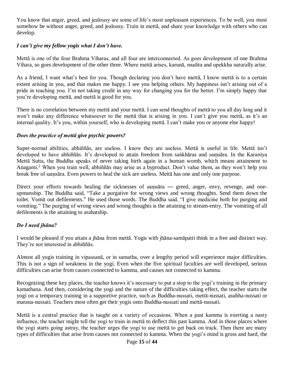You know that anger, greed, and jealousy are some of life's most unpleasant experiences. To be well, you must somehow be without anger, greed, and jealousy. Train in mettā, and share your knowledge with others who can develop.

#### *I can't give my fellow yogis what I don't have.*

Mettā is one of the four Brahma Viharas, and all four are interconnected. As goes development of one Brahma Vihara, so goes development of the other three. Where mettā arises, karunā, mudita and upekkha naturally arise.

As a friend, I want what's best for you. Though declaring you don't have mettā, I know mettā is to a certain extent arising in you, and that makes me happy. I see you helping others. My happiness isn't arising out of a pride in teaching you. I'm not taking credit in any way for changing you for the better. I'm simply happy that you're developing mettā, and mettā is good for you.

There is no correlation between my mettā and your mettā. I can send thoughts of mettā to you all day long and it won't make any difference whatsoever to the mettā that is arising in you. I can't give you mettā, as it's an internal quality. It's you, within yourself, who is developing mettā. I can't make you or anyone else happy!

#### *Does the practice of mettā give psychic powers?*

Super-normal abilities, abhiññās, are useless. I know they are useless. Mettā is useful in life. Mettā isn't developed to have abhiññās. It's developed to attain freedom from saṅkhāras and saṃsāra. In the Karaniya Mettā Sutta, the Buddha speaks of never taking birth again in a human womb, which means attainment to Anagami. <sup>2</sup> When you train well, abhiññās may arise as a byproduct. Don't value them, as they won't help you break free of saṃsāra. Even powers to heal the sick are useless. Mettā has one and only one purpose.

Direct your efforts towards healing the sicknesses of samsara — greed, anger, envy, revenge, and oneupmanship. The Buddha said, "Take a purgative for wrong views and wrong thoughts. Send them down the toilet. Vomit out defilements." He used those words. The Buddha said, "I give medicine both for purging and vomiting." The purging of wrong views and wrong thoughts is the attaining to stream-entry. The vomiting of all defilements is the attaining to arahatship.

# *Do I need jhāna?*

I would be pleased if you attain a jhāna from mettā. Yogis with jhāna-samāpatti think in a free and distinct way. They're not interested in abhiññās.

Almost all yogis training in vipassanā, or in samatha, over a lengthy period will experience major difficulties. This is not a sign of weakness in the yogi. Even when the five spiritual faculties are well developed, serious difficulties can arise from causes connected to kamma, and causes not connected to kamma.

Recognizing these key places, the teacher knows it's necessary to put a stop to the yogi's training in the primary kamathana. And then, considering the yogi and the nature of the difficulties taking effect, the teacher starts the yogi on a temporary training in a supportive practice, such as Buddha-nussati, mettā-nussati, asubha-nussati or marana-nussati. Teachers most often get their yogis onto Buddha-nussati and mettā-nussati.

Mettā is a central practice that is taught on a variety of occasions. When a past kamma is exerting a nasty influence, the teacher might tell the yogi to train in mettā to deflect this past kamma. And in those places where the yogi starts going astray, the teacher urges the yogi to use mettā to get back on track. Then there are many types of difficulties that arise from causes not connected to kamma. When the yogi's mind is gross and hard, the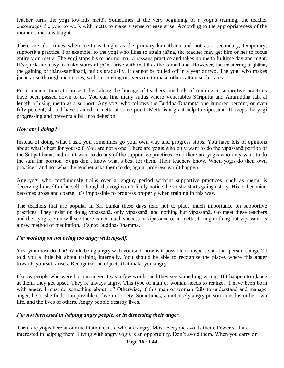teacher turns the yogi towards mettā. Sometimes at the very beginning of a yogi's training, the teacher encourages the yogi to work with mettā to make a sense of ease arise. According to the appropriateness of the moment, mettā is taught.

There are also times when mettā is taught as the primary kamathana and not as a secondary, temporary, supportive practice. For example, to the yogi who likes to attain jhāna, the teacher may get him or her to focus entirely on mettā. The yogi stops his or her normal vipassanā practice and takes up mettā fulltime day and night. It's quick and easy to make states of jhāna arise with mettā as the kamathana. However, the mastering of jhāna, the gaining of jhāna-samāpatti, builds gradually. It cannot be pulled off in a year or two. The yogi who makes jhāna arise through mettā tries, without craving or aversion, to make others attain such states.

From ancient times to present day, along the lineage of teachers, methods of training in supportive practices have been passed down to us. You can find many suttas where Venerables Sāriputta and Anuruddha talk at length of using mettā as a support. Any yogi who follows the Buddha-Dhamma one hundred percent, or even fifty percent, should have trained in mettā at some point. Mettā is a great help to vipassanā. It keeps the yogi progressing and prevents a fall into delusion.

#### *How am I doing?*

Instead of doing what I ask, you sometimes go your own way and progress stops. You have lots of opinions about what's best for yourself. You are not alone. There are yogis who only want to do the vipassanā portion of the Satipaṭṭhāna, and don't want to do any of the supportive practices. And there are yogis who only want to do the samatha portion. Yogis don't know what's best for them. Their teachers know. When yogis do their own practices, and not what the teacher asks them to do, again, progress won't happen.

Any yogi who continuously trains over a lengthy period without supportive practices, such as mettā, is deceiving himself or herself. Though the yogi won't likely notice, he or she starts going astray. His or her mind becomes gross and coarse. It's impossible to progress properly when training in this way.

The teachers that are popular in Sri Lanka these days tend not to place much importance on supportive practices. They insist on doing vipassanā, only vipassanā, and nothing but vipassanā. Go meet these teachers and their yogis. You will see there is not much success in vipassanā or in mettā. Doing nothing but vipassanā is a new method of meditation. It's not Buddha-Dhamma.

#### *I'm working on not being too angry with myself.*

Yes, you must do that! While being angry with yourself, how is it possible to disperse another person's anger? I told you a little bit about training internally. You should be able to recognize the places where this anger towards yourself arises. Recognize the objects that make you angry.

I know people who were born in anger. I say a few words, and they see something wrong. If I happen to glance at them, they get upset. They're always angry. This type of man or woman needs to realize, "I have been born with anger. I must do something about it." Otherwise, if this man or woman fails to understand and manage anger, he or she finds it impossible to live in society. Sometimes, an intensely angry person ruins his or her own life, and the lives of others. Angry people destroy lives.

#### *I'm not interested in helping angry people, or in dispersing their anger.*

There are yogis here at our meditation centre who are angry. Most everyone avoids them. Fewer still are interested in helping them. Living with angry yogis is an opportunity. Don't avoid them. When you carry on,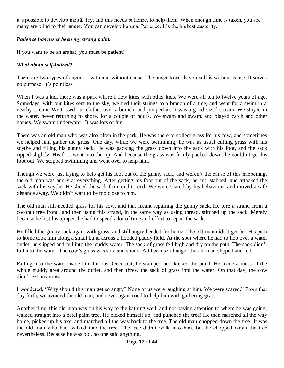it's possible to develop mettā. Try, and this needs patience, to help them. When enough time is taken, you see many are blind to their anger. You can develop karunā. Patience. It's the highest austerity.

#### *Patience has never been my strong point.*

If you want to be an arahat, you must be patient!

#### *What about self-hatred?*

There are two types of anger — with and without cause. The anger towards yourself is without cause. It serves no purpose. It's pointless.

When I was a kid, there was a park where I flew kites with other kids. We were all ten to twelve years of age. Somedays, with our kites sent to the sky, we tied their strings to a branch of a tree, and went for a swim in a nearby stream. We tossed our clothes over a branch, and jumped in. It was a good-sized stream. We stayed in the water, never returning to shore, for a couple of hours. We swam and swam, and played catch and other games. We swam underwater. It was lots of fun.

There was an old man who was also often in the park. He was there to collect grass for his cow, and sometimes we helped him gather the grass. One day, while we were swimming, he was as usual cutting grass with his scythe and filling his gunny sack. He was packing the grass down into the sack with his foot, and the sack ripped slightly. His foot went into the rip. And because the grass was firmly packed down, he couldn't get his foot out. We stopped swimming and went over to help him.

Though we were just trying to help get his foot out of the gunny sack, and weren't the cause of this happening, the old man was angry at everything. After getting his foot out of the sack, he cut, stabbed, and attacked the sack with his scythe. He sliced the sack from end to end. We were scared by his behaviour, and moved a safe distance away. We didn't want to be too close to him.

The old man still needed grass for his cow, and that meant repairing the gunny sack. He tore a strand from a coconut tree frond, and then using this strand, in the same way as using thread, stitched up the sack. Merely because he lost his temper, he had to spend a lot of time and effort to repair the sack.

He filled the gunny sack again with grass, and still angry headed for home. The old man didn't get far. His path to home took him along a small bund across a flooded paddy field. At the spot where he had to hop over a water outlet, he slipped and fell into the muddy water. The sack of grass fell high and dry on the path. The sack didn't fall into the water. The cow's grass was safe and sound. All because of anger the old man slipped and fell.

Falling into the water made him furious. Once out, he stamped and kicked the bund. He made a mess of the whole muddy area around the outlet, and then threw the sack of grass into the water! On that day, the cow didn't get any grass.

I wondered, "Why should this man get so angry? None of us were laughing at him. We were scared." From that day forth, we avoided the old man, and never again tried to help him with gathering grass.

Another time, this old man was on his way to the bathing well, and not paying attention to where he was going, walked straight into a betel palm tree. He picked himself up, and punched the tree! He then marched all the way home, picked up his axe, and marched all the way back to the tree. The old man chopped down the tree! It was the old man who had walked into the tree. The tree didn't walk into him, but he chopped down the tree nevertheless. Because he was old, no one said anything.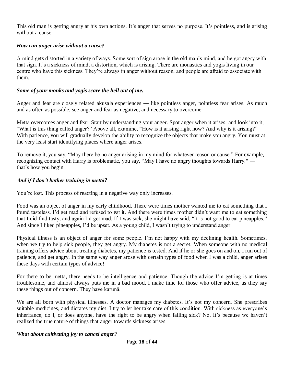This old man is getting angry at his own actions. It's anger that serves no purpose. It's pointless, and is arising without a cause.

#### *How can anger arise without a cause?*

A mind gets distorted in a variety of ways. Some sort of sign arose in the old man's mind, and he got angry with that sign. It's a sickness of mind, a distortion, which is arising. There are monastics and yogis living in our centre who have this sickness. They're always in anger without reason, and people are afraid to associate with them.

#### *Some of your monks and yogis scare the hell out of me.*

Anger and fear are closely related akusala experiences — like pointless anger, pointless fear arises. As much and as often as possible, see anger and fear as negative, and necessary to overcome.

Mettā overcomes anger and fear. Start by understanding your anger. Spot anger when it arises, and look into it, "What is this thing called anger?" Above all, examine, "How is it arising right now? And why is it arising?" With patience, you will gradually develop the ability to recognize the objects that make you angry. You must at the very least start identifying places where anger arises.

To remove it, you say, "May there be no anger arising in my mind for whatever reason or cause." For example, recognizing contact with Harry is problematic, you say, "May I have no angry thoughts towards Harry." ― that's how you begin.

#### *And if I don't bother training in mettā?*

You're lost. This process of reacting in a negative way only increases.

Food was an object of anger in my early childhood. There were times mother wanted me to eat something that I found tasteless. I'd get mad and refused to eat it. And there were times mother didn't want me to eat something that I did find tasty, and again I'd get mad. If I was sick, she might have said, "It is not good to eat pineapples." And since I liked pineapples, I'd be upset. As a young child, I wasn't trying to understand anger.

Physical illness is an object of anger for some people. I'm not happy with my declining health. Sometimes, when we try to help sick people, they get angry. My diabetes is not a secret. When someone with no medical training offers advice about treating diabetes, my patience is tested. And if he or she goes on and on, I run out of patience, and get angry. In the same way anger arose with certain types of food when I was a child, anger arises these days with certain types of advice!

For there to be mettā, there needs to be intelligence and patience. Though the advice I'm getting is at times troublesome, and almost always puts me in a bad mood, I make time for those who offer advice, as they say these things out of concern. They have karunā.

We are all born with physical illnesses. A doctor manages my diabetes. It's not my concern. She prescribes suitable medicines, and dictates my diet. I try to let her take care of this condition. With sickness as everyone's inheritance, do I, or does anyone, have the right to be angry when falling sick? No. It's because we haven't realized the true nature of things that anger towards sickness arises.

#### *What about cultivating joy to cancel anger?*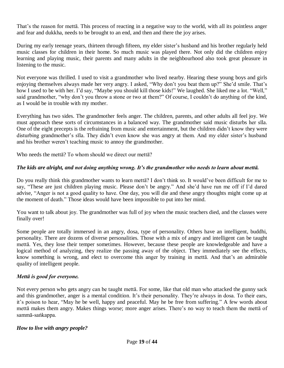That's the reason for mettā. This process of reacting in a negative way to the world, with all its pointless anger and fear and dukkha, needs to be brought to an end, and then and there the joy arises.

During my early teenage years, thirteen through fifteen, my elder sister's husband and his brother regularly held music classes for children in their home. So much music was played there. Not only did the children enjoy learning and playing music, their parents and many adults in the neighbourhood also took great pleasure in listening to the music.

Not everyone was thrilled. I used to visit a grandmother who lived nearby. Hearing these young boys and girls enjoying themselves always made her very angry. I asked, "Why don't you beat them up?" She'd smile. That's how I used to be with her. I'd say, "Maybe you should kill those kids!" We laughed. She liked me a lot. "Well," said grandmother, "why don't you throw a stone or two at them?" Of course, I couldn't do anything of the kind, as I would be in trouble with my mother.

Everything has two sides. The grandmother feels anger. The children, parents, and other adults all feel joy. We must approach these sorts of circumstances in a balanced way. The grandmother said music disturbs her sīla. One of the eight precepts is the refraining from music and entertainment, but the children didn't know they were disturbing grandmother's sīla. They didn't even know she was angry at them. And my elder sister's husband and his brother weren't teaching music to annoy the grandmother.

Who needs the metta? To whom should we direct our metta?

# *The kids are alright, and not doing anything wrong. It's the grandmother who needs to learn about mettā.*

Do you really think this grandmother wants to learn mettā? I don't think so. It would've been difficult for me to say, "These are just children playing music. Please don't be angry." And she'd have run me off if I'd dared advise, "Anger is not a good quality to have. One day, you will die and these angry thoughts might come up at the moment of death." Those ideas would have been impossible to put into her mind.

You want to talk about joy. The grandmother was full of joy when the music teachers died, and the classes were finally over!

Some people are totally immersed in an angry, dosa, type of personality. Others have an intelligent, buddhi, personality. There are dozens of diverse personalities. Those with a mix of angry and intelligent can be taught mettā. Yes, they lose their temper sometimes. However, because these people are knowledgeable and have a logical method of analyzing, they realize the passing away of the object. They immediately see the effects, know something is wrong, and elect to overcome this anger by training in mettā. And that's an admirable quality of intelligent people.

# *Mettā is good for everyone.*

Not every person who gets angry can be taught mettā. For some, like that old man who attacked the gunny sack and this grandmother, anger is a mental condition. It's their personality. They're always in dosa. To their ears, it's poison to hear, "May he be well, happy and peaceful. May he be free from suffering." A few words about mettā makes them angry. Makes things worse; more anger arises. There's no way to teach them the mettā of sammā-saṅkappa.

#### *How to live with angry people?*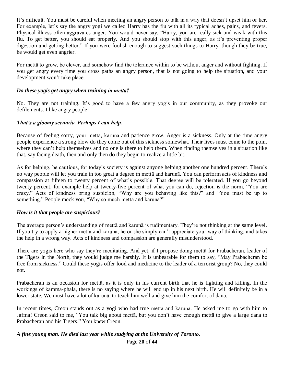It's difficult. You must be careful when meeting an angry person to talk in a way that doesn't upset him or her. For example, let's say the angry yogi we called Harry has the flu with all its typical aches, pains, and fevers. Physical illness often aggravates anger. You would never say, "Harry, you are really sick and weak with this flu. To get better, you should eat properly. And you should stop with this anger, as it's preventing proper digestion and getting better." If you were foolish enough to suggest such things to Harry, though they be true, he would get even angrier.

For mettā to grow, be clever, and somehow find the tolerance within to be without anger and without fighting. If you get angry every time you cross paths an angry person, that is not going to help the situation, and your development won't take place.

#### *Do these yogis get angry when training in mettā?*

No. They are not training. It's good to have a few angry yogis in our community, as they provoke our defilements. I like angry people!

#### *That's a gloomy scenario. Perhaps I can help.*

Because of feeling sorry, your mettā, karunā and patience grow. Anger is a sickness. Only at the time angry people experience a strong blow do they come out of this sickness somewhat. Their lives must come to the point where they can't help themselves and no one is there to help them. When finding themselves in a situation like that, say facing death, then and only then do they begin to realize a little bit.

As for helping, be cautious, for today's society is against anyone helping another one hundred percent. There's no way people will let you train in too great a degree in mettā and karunā. You can perform acts of kindness and compassion at fifteen to twenty percent of what's possible. That degree will be tolerated. If you go beyond twenty percent, for example help at twenty-five percent of what you can do, rejection is the norm, "You are crazy." Acts of kindness bring suspicion, "Why are you behaving like this?" and "You must be up to something." People mock you, "Why so much mettā and karunā?"

#### *How is it that people are suspicious?*

The average person's understanding of mettā and karunā is rudimentary. They're not thinking at the same level. If you try to apply a higher mettā and karunā, he or she simply can't appreciate your way of thinking, and takes the help in a wrong way. Acts of kindness and compassion are generally misunderstood.

There are yogis here who say they're meditating. And yet, if I propose doing mettā for Prabacheran, leader of the Tigers in the North, they would judge me harshly. It is unbearable for them to say, "May Prabacheran be free from sickness." Could these yogis offer food and medicine to the leader of a terrorist group? No, they could not.

Prabacheran is an occasion for mettā, as it is only in his current birth that he is fighting and killing. In the workings of kamma-phala, there is no saying where he will end up in his next birth. He will definitely be in a lower state. We must have a lot of karunā, to teach him well and give him the comfort of dana.

In recent times, Creon stands out as a yogi who had true mettā and karunā. He asked me to go with him to Jaffna! Creon said to me, "You talk big about mettā, but you don't have enough mettā to give a large dana to Prabacheran and his Tigers." You knew Creon.

#### *A fine young man. He died last year while studying at the University of Toronto.*

Page **20** of **44**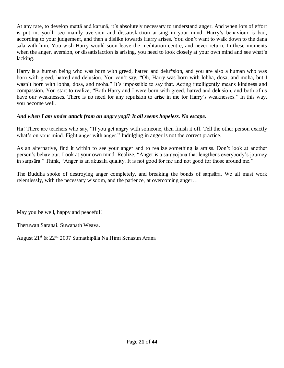At any rate, to develop mettā and karunā, it's absolutely necessary to understand anger. And when lots of effort is put in, you'll see mainly aversion and dissatisfaction arising in your mind. Harry's behaviour is bad, according to your judgement, and then a dislike towards Harry arises. You don't want to walk down to the dana sala with him. You wish Harry would soon leave the meditation centre, and never return. In these moments when the anger, aversion, or dissatisfaction is arising, you need to look closely at your own mind and see what's lacking.

Harry is a human being who was born with greed, hatred and delu\*sion, and you are also a human who was born with greed, hatred and delusion. You can't say, "Oh, Harry was born with lobha, dosa, and moha, but I wasn't born with lobha, dosa, and moha." It's impossible to say that. Acting intelligently means kindness and compassion. You start to realize, "Both Harry and I were born with greed, hatred and delusion, and both of us have our weaknesses. There is no need for any repulsion to arise in me for Harry's weaknesses." In this way, you become well.

#### *And when I am under attack from an angry yogi? It all seems hopeless. No escape.*

Ha! There are teachers who say, "If you get angry with someone, then finish it off. Tell the other person exactly what's on your mind. Fight anger with anger." Indulging in anger is not the correct practice.

As an alternative, find it within to see your anger and to realize something is amiss. Don't look at another person's behaviour. Look at your own mind. Realize, "Anger is a saṃyojana that lengthens everybody's journey in saṃsāra." Think, "Anger is an akusala quality. It is not good for me and not good for those around me."

The Buddha spoke of destroying anger completely, and breaking the bonds of saṃsāra. We all must work relentlessly, with the necessary wisdom, and the patience, at overcoming anger…

May you be well, happy and peaceful!

Theruwan Saranai. Suwapath Weava.

August 21st & 22nd 2007 Sumathipāla Na Himi Senasun Arana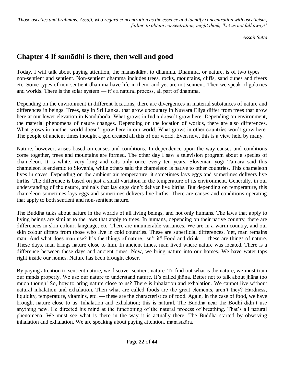*Those ascetics and brahmins, Assaji, who regard concentration as the essence and identify concentration with asceticism, failing to obtain concentration, might think, 'Let us not fall away!'*

*Assaji Sutta*

# **Chapter 4 If samādhi is there, then well and good**

Today, I will talk about paying attention, the manasikāra, to dhamma. Dhamma, or nature, is of two types ― non-sentient and sentient. Non-sentient dhamma includes trees, rocks, mountains, cliffs, sand dunes and rivers etc. Some types of non-sentient dhamma have life in them, and yet are not sentient. Then we speak of galaxies and worlds. There is the solar system — it's a natural process, all part of dhamma.

Depending on the environment in different locations, there are divergences in material substances of nature and differences in beings. Trees, say in Sri Lanka, that grow upcountry in Nuwara Eliya differ from trees that grow here at our lower elevation in Kanduboda. What grows in India doesn't grow here. Depending on environment, the material phenomena of nature changes. Depending on the location of worlds, there are also differences. What grows in another world doesn't grow here in our world. What grows in other countries won't grow here. The people of ancient times thought a god created all this of our world. Even now, this is a view held by many.

Nature, however, arises based on causes and conditions. In dependence upon the way causes and conditions come together, trees and mountains are formed. The other day I saw a television program about a species of chameleon. It is white, very long and eats only once every ten years. Slovenian yogi Tamara said this chameleon is endemic to Slovenia, while others said the chameleon is native to other countries. This chameleon lives in caves. Depending on the ambient air temperature, it sometimes lays eggs and sometimes delivers live births. The difference is based on just a small variation in the temperature of its environment. Generally, in our understanding of the nature, animals that lay eggs don't deliver live births. But depending on temperature, this chameleon sometimes lays eggs and sometimes delivers live births. There are causes and conditions operating that apply to both sentient and non-sentient nature.

The Buddha talks about nature in the worlds of all living beings, and not only humans. The laws that apply to living beings are similar to the laws that apply to trees. In humans, depending on their native country, there are differences in skin colour, language, etc. There are innumerable variances. We are in a warm country, and our skin colour differs from those who live in cold countries. These are superficial differences. Yet, man remains man. And what does man use? It's the things of nature, isn't it? Food and drink — these are things of nature. These days, man brings nature close to him. In ancient times, man lived where nature was located. There is a difference between these days and ancient times. Now, we bring nature into our homes. We have water taps right inside our homes. Nature has been brought closer.

By paying attention to sentient nature, we discover sentient nature. To find out what is the nature, we must train our minds properly. We use our nature to understand nature. It's called jhāna. Better not to talk about jhāna too much though! So, how to bring nature close to us? There is inhalation and exhalation. We cannot live without natural inhalation and exhalation. Then what are called foods are the great elements, aren't they? Hardness, liquidity, temperature, vitamins, etc. — these are the characteristics of food. Again, in the case of food, we have brought nature close to us. Inhalation and exhalation; this is natural. The Buddha near the Bodhi didn't use anything new. He directed his mind at the functioning of the natural process of breathing. That's all natural phenomena. We must see what is there in the way it is actually there. The Buddha started by observing inhalation and exhalation. We are speaking about paying attention, manasikāra.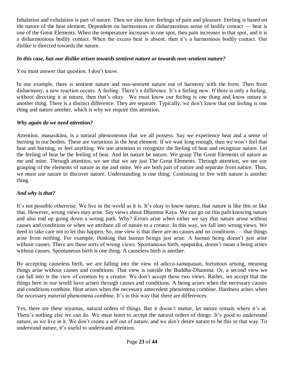Inhalation and exhalation is part of nature. Then we also have feelings of pain and pleasure. Feeling is based on the nature of the heat element. Dependent on harmonious or disharmonious sense of bodily contact — heat is one of the Great Elements. When the temperature increases in one spot, then pain increases in that spot, and it is a disharmonious bodily contact. When the excess heat is absent, then it's a harmonious bodily contact. Our dislike is directed towards the nature.

#### *In this case, has our dislike arisen towards sentient nature or towards non-sentient nature?*

You must answer that question. I don't know.

In our example, there is sentient nature and non-sentient nature out of harmony with the form. Then from disharmony, a new reaction occurs. A feeling. There's a difference. It's a feeling now. If there is only a feeling, without directing it at nature, then that's okay. We must know our feeling is one thing and know nature is another thing. There is a distinct difference. They are separate. Typically, we don't know that our feeling is one thing and nature another, which is why we require this attention.

#### *Why again do we need attention?*

Attention, manasikāra, is a natural phenomenon that we all possess. Say we experience heat and a sense of burning in our bodies. These are variations in the heat element. If we wait long enough, then we won't feel that heat and burning, or feel anything. We use attention to recognize the feeling of heat and recognize nature. Let the feeling of heat be the feeling of heat. And let nature be nature. We grasp The Great Elements of nature as me and mine. Through attention, we see that we are just The Great Elements. Through attention, we see our grasping of the elements of nature as me and mine. We are both part of nature and separate from nature. Thus, we must use nature to discover nature. Understanding is one thing. Continuing to live with nature is another thing.

#### *And why is that?*

It's not possible otherwise. We live in the world as it is. It's okay to know nature, that nature is like this or like that. However, wrong views may arise. Say views about Dhamma Kaya. We can go on this path knowing nature and also end up going down a wrong path. Why? Errors arise when either we say that nature arose without causes and conditions or when we attribute all of nature to a creator. In this way, we fall into wrong views. We need to take care not to let this happen. So, one view is that there are no causes and no conditions — that things arise from nothing. For example, thinking that human beings just arise. A human being doesn't just arise without causes. There are these sorts of wrong views. Spontaneous birth, opapatika, doesn't mean a being arises without causes. Spontaneous birth is one thing. A causeless birth is another.

By accepting causeless birth, we are falling into the view of adicca-samupanan, fortuitous arising, meaning things arise without causes and conditions. That view is outside the Buddha-Dhamma. Or, a second view we can fall into is the view of creation by a creator. We don't accept these two views. Rather, we accept that the things here in our world have arisen through causes and conditions. A being arises when the necessary causes and conditions combine. Heat arises when the necessary antecedent phenomena combine. Hardness arises when the necessary material phenomena combine. It's in this way that there are differences.

Yes, there are these niyamas, natural orders of things. But it doesn't matter, let nature remain where it's at. There's nothing else we can do. We must learn to accept the natural orders of things. It's good to understand nature, as we live in it. We don't create a self out of nature, and we don't desire nature to be this or that way. To understand nature, it's useful to understand attention.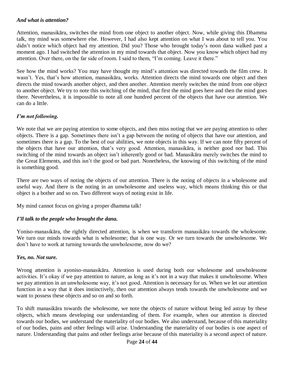#### *And what is attention?*

Attention, manasikāra, switches the mind from one object to another object. Now, while giving this Dhamma talk, my mind was somewhere else. However, I had also kept attention on what I was about to tell you. You didn't notice which object had my attention. Did you? Those who brought today's noon dana walked past a moment ago. I had switched the attention in my mind towards that object. Now you know which object had my attention. Over there, on the far side of room. I said to them, "I'm coming. Leave it there."

See how the mind works? You may have thought my mind's attention was directed towards the film crew. It wasn't. Yes, that's how attention, manasikāra, works. Attention directs the mind towards one object and then directs the mind towards another object, and then another. Attention merely switches the mind from one object to another object. We try to note this switching of the mind, that first the mind goes here and then the mind goes there. Nevertheless, it is impossible to note all one hundred percent of the objects that have our attention. We can do a little.

#### *I'm not following.*

We note that we are paying attention to some objects, and then miss noting that we are paying attention to other objects. There is a gap. Sometimes there isn't a gap between the noting of objects that have our attention, and sometimes there is a gap. To the best of our abilities, we note objects in this way. If we can note fifty percent of the objects that have our attention, that's very good. Attention, manasikāra, is neither good nor bad. This switching of the mind towards an object isn't inherently good or bad. Manasikāra merely switches the mind to the Great Elements, and this isn't the good or bad part. Nonetheless, the knowing of this switching of the mind is something good.

There are two ways of noting the objects of our attention. There is the noting of objects in a wholesome and useful way. And there is the noting in an unwholesome and useless way, which means thinking this or that object is a bother and so on. Two different ways of noting exist in life.

My mind cannot focus on giving a proper dhamma talk!

#### *I'll talk to the people who brought the dana.*

Yoniso-manasikāra, the rightly directed attention, is when we transform manasikāra towards the wholesome. We turn our minds towards what is wholesome; that is one way. Or we turn towards the unwholesome. We don't have to work at turning towards the unwholesome, now do we?

#### *Yes, no. Not sure.*

Wrong attention is ayoniso-manasikāra. Attention is used during both our wholesome and unwholesome activities. It's okay if we pay attention to nature, as long as it's not in a way that makes it unwholesome. When we pay attention in an unwholesome way, it's not good. Attention is necessary for us. When we let our attention function in a way that it does instinctively, then our attention always tends towards the unwholesome and we want to possess these objects and so on and so forth.

To shift manasikāra towards the wholesome, we note the objects of nature without being led astray by these objects, which means developing our understanding of them. For example, when our attention is directed towards our bodies, we understand the materiality of our bodies. We also understand, because of this materiality of our bodies, pains and other feelings will arise. Understanding the materiality of our bodies is one aspect of nature. Understanding that pains and other feelings arise because of this materiality is a second aspect of nature.

#### Page **24** of **44**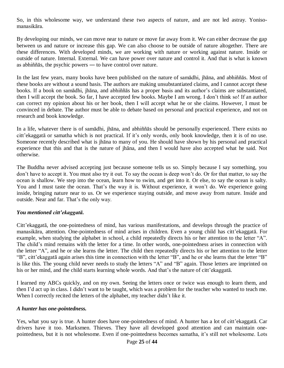So, in this wholesome way, we understand these two aspects of nature, and are not led astray. Yonisomanasikāra.

By developing our minds, we can move near to nature or move far away from it. We can either decrease the gap between us and nature or increase this gap. We can also choose to be outside of nature altogether. There are these differences. With developed minds, we are working with nature or working against nature. Inside or outside of nature. Internal. External. We can have power over nature and control it. And that is what is known as abhiññās, the psychic powers ― to have control over nature.

In the last few years, many books have been published on the nature of samādhi, jhāna, and abhiññās. Most of these books are without a sound basis. The authors are making unsubstantiated claims, and I cannot accept these books. If a book on samādhi, jhāna, and abhiññās has a proper basis and its author's claims are substantiated, then I will accept the book. So far, I have accepted few books. Maybe I am wrong. I don't think so! If an author can correct my opinion about his or her book, then I will accept what he or she claims. However, I must be convinced in debate. The author must be able to debate based on personal and practical experience, and not on research and book knowledge.

In a life, whatever there is of samādhi, jhāna, and abhiññās should be personally experienced. There exists no citt'ekaggatā or samatha which is not practical. If it's only words, only book knowledge, then it is of no use. Someone recently described what is jhāna to many of you. He should have shown by his personal and practical experience that this and that is the nature of jhāna, and then I would have also accepted what he said. Not otherwise.

The Buddha never advised accepting just because someone tells us so. Simply because I say something, you don't have to accept it. You must also try it out. To say the ocean is deep won't do. Or for that matter, to say the ocean is shallow. We step into the ocean, learn how to swim, and get into it. Or else, to say the ocean is salty. You and I must taste the ocean. That's the way it is. Without experience, it won't do. We experience going inside, bringing nature near to us. Or we experience staying outside, and move away from nature. Inside and outside. Near and far. That's the only way.

#### *You mentioned citt'ekaggatā.*

Citt'ekaggatā, the one-pointedness of mind, has various manifestations, and develops through the practice of manasikāra, attention. One-pointedness of mind arises in children. Even a young child has citt'ekaggatā. For example, when studying the alphabet in school, a child repeatedly directs his or her attention to the letter "A". The child's mind remains with the letter for a time. In other words, one-pointedness arises in connection with the letter "A", and he or she learns the letter. The child then repeatedly directs his or her attention to the letter "B", citt'ekaggatā again arises this time in connection with the letter "B", and he or she learns that the letter "B" is like this. The young child never needs to study the letters "A" and "B" again. Those letters are imprinted on his or her mind, and the child starts learning whole words. And that's the nature of citt'ekaggatā.

I learned my ABCs quickly, and on my own. Seeing the letters once or twice was enough to learn them, and then I'd act up in class. I didn't want to be taught, which was a problem for the teacher who wanted to teach me. When I correctly recited the letters of the alphabet, my teacher didn't like it.

#### *A hunter has one-pointedness.*

Yes, what you say is true. A hunter does have one-pointedness of mind. A hunter has a lot of citt'ekaggatā. Car drivers have it too. Marksmen. Thieves. They have all developed good attention and can maintain onepointedness, but it is not wholesome. Even if one-pointedness becomes samatha, it's still not wholesome. Lots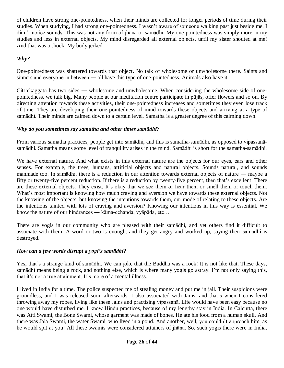of children have strong one-pointedness, when their minds are collected for longer periods of time during their studies. When studying, I had strong one-pointedness. I wasn't aware of someone walking past just beside me. I didn't notice sounds. This was not any form of jhāna or samādhi. My one-pointedness was simply more in my studies and less in external objects. My mind disregarded all external objects, until my sister shouted at me! And that was a shock. My body jerked.

#### *Why?*

One-pointedness was shattered towards that object. No talk of wholesome or unwholesome there. Saints and sinners and everyone in between — all have this type of one-pointedness. Animals also have it.

Citt'ekaggatā has two sides ― wholesome and unwholesome. When considering the wholesome side of onepointedness, we talk big. Many people at our meditation centre participate in pūjās, offer flowers and so on. By directing attention towards these activities, their one-pointedness increases and sometimes they even lose track of time. They are developing their one-pointedness of mind towards these objects and arriving at a type of samādhi. Their minds are calmed down to a certain level. Samatha is a greater degree of this calming down.

#### *Why do you sometimes say samatha and other times samādhi?*

From various samatha practices, people get into samādhi, and this is samatha-samādhi, as opposed to vipassanāsamādhi. Samatha means some level of tranquility arises in the mind. Samādhi is short for the samatha-samādhi.

We have external nature. And what exists in this external nature are the objects for our eyes, ears and other senses. For example, the trees, humans, artificial objects and natural objects. Sounds natural, and sounds manmade too. In samādhi, there is a reduction in our attention towards external objects of nature ― maybe a fifty or twenty-five percent reduction. If there is a reduction by twenty-five percent, then that's excellent. There are these external objects. They exist. It's okay that we see them or hear them or smell them or touch them. What's most important is knowing how much craving and aversion we have towards these external objects. Not the knowing of the objects, but knowing the intentions towards them, our mode of relating to these objects. Are the intentions tainted with lots of craving and aversion? Knowing our intentions in this way is essential. We know the nature of our hindrances ― kāma-cchanda, vyāpāda, etc…

There are yogis in our community who are pleased with their samādhi, and yet others find it difficult to associate with them. A word or two is enough, and they get angry and worked up, saying their samādhi is destroyed.

#### *How can a few words disrupt a yogi's samādhi?*

Yes, that's a strange kind of samādhi. We can joke that the Buddha was a rock! It is not like that. These days, samādhi means being a rock, and nothing else, which is where many yogis go astray. I'm not only saying this, that it's not a true attainment. It's more of a mental illness.

I lived in India for a time. The police suspected me of stealing money and put me in jail. Their suspicions were groundless, and I was released soon afterwards. I also associated with Jains, and that's when I considered throwing away my robes, living like these Jains and practising vipassanā. Life would have been easy because no one would have disturbed me. I know Hindu practices, because of my lengthy stay in India. In Calcutta, there was Atti Swami, the Bone Swami, whose garment was made of bones. He ate his food from a human skull. And there was Jala Swami, the water Swami, who lived in a pond. And another, well, you couldn't approach him, as he would spit at you! All these swamis were considered attainers of jhāna. So, such yogis there were in India,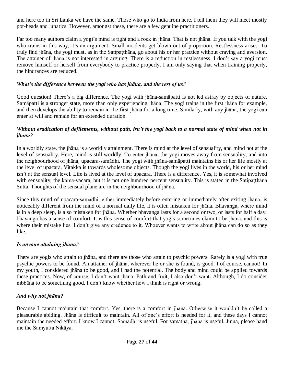and here too in Sri Lanka we have the same. Those who go to India from here, I tell them they will meet mostly pot-heads and lunatics. However, amongst these, there are a few genuine practitioners.

Far too many authors claim a yogi's mind is tight and a rock in jhāna. That is not jhāna. If you talk with the yogi who trains in this way, it's an argument. Small incidents get blown out of proportion. Restlessness arises. To truly find jhāna, the yogi must, as in the Satipatthāna, go about his or her practice without craving and aversion. The attainer of jhāna is not interested in arguing. There is a reduction in restlessness. I don't say a yogi must remove himself or herself from everybody to practice properly. I am only saying that when training properly, the hindrances are reduced.

#### *What's the difference between the yogi who has jhāna, and the rest of us?*

Good question! There's a big difference. The yogi with jhāna-samāpatti is not led astray by objects of nature. Samāpatti is a stronger state, more than only experiencing jhāna. The yogi trains in the first jhāna for example, and then develops the ability to remain in the first jhāna for a long time. Similarly, with any jhāna, the yogi can enter at will and remain for an extended duration.

#### *Without eradication of defilements, without path, isn't the yogi back to a normal state of mind when not in jhāna?*

In a worldly state, the jhāna is a worldly attainment. There is mind at the level of sensuality, and mind not at the level of sensuality. Here, mind is still worldly. To enter jhāna, the yogi moves away from sensuality, and into the neighbourhood of jhāna, upacara-samādhi. The yogi with jhāna-samāpatti maintains his or her life mostly at the level of upacara. Vitakka is towards wholesome objects. Though the yogi lives in the world, his or her mind isn't at the sensual level. Life is lived at the level of upacara. There is a difference. Yes, it is somewhat involved with sensuality, the kāma-vacara, but it is not one hundred percent sensuality. This is stated in the Satipatthāna Sutta. Thoughts of the sensual plane are in the neighbourhood of jhāna.

Since this mind of upacara-samādhi, either immediately before entering or immediately after exiting jhāna, is noticeably different from the mind of a normal daily life, it is often mistaken for jhāna. Bhavanga, where mind is in a deep sleep, is also mistaken for jhāna. Whether bhavanga lasts for a second or two, or lasts for half a day, bhavanga has a sense of comfort. It is this sense of comfort that yogis sometimes claim to be jhāna, and this is where their mistake lies. I don't give any credence to it. Whoever wants to write about jhana can do so as they like.

# *Is anyone attaining jhāna?*

There are yogis who attain to jhāna, and there are those who attain to psychic powers. Rarely is a yogi with true psychic powers to be found. An attainer of jhāna, wherever he or she is found, is good. I of course, cannot! In my youth, I considered jhāna to be good, and I had the potential. The body and mind could be applied towards these practices. Now, of course, I don't want jhāna. Path and fruit, I also don't want. Although, I do consider nibbāna to be something good. I don't know whether how I think is right or wrong.

#### *And why not jhāna?*

Because I cannot maintain that comfort. Yes, there is a comfort in jhāna. Otherwise it wouldn't be called a pleasurable abiding. Jhāna is difficult to maintain. All of one's effort is needed for it, and these days I cannot maintain the needed effort. I know I cannot. Samādhi is useful. For samatha, jhāna is useful. Jinna, please hand me the Saṃyutta Nikāya.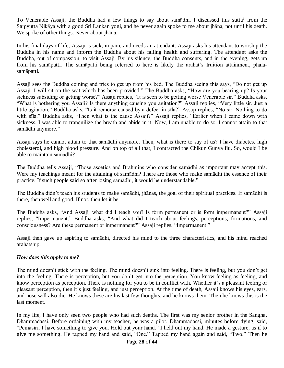To Venerable Assaji, the Buddha had a few things to say about samādhi. I discussed this sutta<sup>3</sup> from the Saṃyutta Nikāya with a good Sri Lankan yogi, and he never again spoke to me about jhāna, not until his death. We spoke of other things. Never about jhāna.

In his final days of life, Assaji is sick, in pain, and needs an attendant. Assaji asks his attendant to worship the Buddha in his name and inform the Buddha about his failing health and suffering. The attendant asks the Buddha, out of compassion, to visit Assaji. By his silence, the Buddha consents, and in the evening, gets up from his samāpatti. The samāpatti being referred to here is likely the arahat's fruition attainment, phalasamāpatti.

Assaji sees the Buddha coming and tries to get up from his bed. The Buddha seeing this says, "Do not get up Assaji. I will sit on the seat which has been provided." The Buddha asks, "How are you bearing up? Is your sickness subsiding or getting worse?" Assaji replies, "It is seen to be getting worse Venerable sir." Buddha asks, "What is bothering you Assaji? Is there anything causing you agitation?" Assaji replies, "Very little sir. Just a little agitation." Buddha asks, "Is it remorse caused by a defect in sīla?" Assaji replies, "No sir. Nothing to do with sīla." Buddha asks, "Then what is the cause Assaji?" Assaji replies, "Earlier when I came down with sickness, I was able to tranquilize the breath and abide in it. Now, I am unable to do so. I cannot attain to that samādhi anymore."

Assaji says he cannot attain to that samādhi anymore. Then, what is there to say of us? I have diabetes, high cholesterol, and high blood pressure. And on top of all that, I contracted the Chikun Gunya flu. So, would I be able to maintain samādhi?

The Buddha tells Assaji, "Those ascetics and Brahmins who consider samādhi as important may accept this. Were my teachings meant for the attaining of samādhi? There are those who make samādhi the essence of their practice. If such people said so after losing samādhi, it would be understandable."

The Buddha didn't teach his students to make samādhi, jhānas, the goal of their spiritual practices. If samādhi is there, then well and good. If not, then let it be.

The Buddha asks, "And Assaji, what did I teach you? Is form permanent or is form impermanent?" Assaji replies, "Impermanent." Buddha asks, "And what did I teach about feelings, perceptions, formations, and consciousness? Are these permanent or impermanent?" Assaji replies, "Impermanent."

Assaji then gave up aspiring to samādhi, directed his mind to the three characteristics, and his mind reached arahatship.

# *How does this apply to me?*

The mind doesn't stick with the feeling. The mind doesn't sink into feeling. There is feeling, but you don't get into the feeling. There is perception, but you don't get into the perception. You know feeling as feeling, and know perception as perception. There is nothing for you to be in conflict with. Whether it's a pleasant feeling or pleasant perception, then it's just feeling, and just perception. At the time of death, Assaji knows his eyes, ears, and nose will also die. He knows these are his last few thoughts, and he knows them. Then he knows this is the last moment.

In my life, I have only seen two people who had such deaths. The first was my senior brother in the Sangha, Dhammadassi. Before ordaining with my teacher, he was a pilot. Dhammadassi, minutes before dying, said, "Pemasiri, I have something to give you. Hold out your hand." I held out my hand. He made a gesture, as if to give me something. He tapped my hand and said, "One." Tapped my hand again and said, "Two." Then he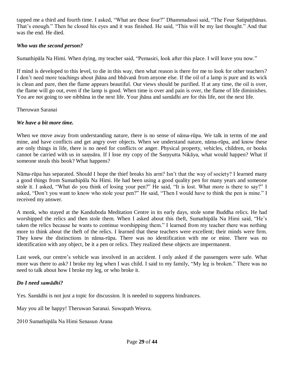tapped me a third and fourth time. I asked, "What are these four?" Dhammadassi said, "The Four Satipaṭṭhānas. That's enough." Then he closed his eyes and it was finished. He said, "This will be my last thought." And that was the end. He died.

#### *Who was the second person?*

Sumathipāla Na Himi. When dying, my teacher said, "Pemasiri, look after this place. I will leave you now."

If mind is developed to this level, to die in this way, then what reason is there for me to look for other teachers? I don't need more teachings about jhāna and bhāvanā from anyone else. If the oil of a lamp is pure and its wick is clean and pure, then the flame appears beautiful. Our views should be purified. If at any time, the oil is over, the flame will go out, even if the lamp is good. When time is over and pain is over, the flame of life diminishes. You are not going to see nibbāna in the next life. Your jhāna and samādhi are for this life, not the next life.

Theruwan Saranai

#### *We have a bit more time.*

When we move away from understanding nature, there is no sense of nāma-rūpa. We talk in terms of me and mine, and have conflicts and get angry over objects. When we understand nature, nāma-rūpa, and know these are only things in life, there is no need for conflicts or anger. Physical property, vehicles, children, or books cannot be carried with us in saṃsāra. If I lose my copy of the Saṃyutta Nikāya, what would happen? What if someone steals this book? What happens?

Nāma-rūpa has separated. Should I hope the thief breaks his arm? Isn't that the way of society? I learned many a good things from Sumathipāla Na Himi. He had been using a good quality pen for many years and someone stole it. I asked, "What do you think of losing your pen?" He said, "It is lost. What more is there to say?" I asked, "Don't you want to know who stole your pen?" He said, "Then I would have to think the pen is mine." I received my answer.

A monk, who stayed at the Kanduboda Meditation Centre in its early days, stole some Buddha relics. He had worshipped the relics and then stole them. When I asked about this theft, Sumathipāla Na Himi said, "He's taken the relics because he wants to continue worshipping them." I learned from my teacher there was nothing more to think about the theft of the relics. I learned that these teachers were excellent; their minds were firm. They knew the distinctions in nāma-rūpa. There was no identification with me or mine. There was no identification with any object, be it a pen or relics. They realized these objects are impermanent.

Last week, our centre's vehicle was involved in an accident. I only asked if the passengers were safe. What more was there to ask? I broke my leg when I was child. I said to my family, "My leg is broken." There was no need to talk about how I broke my leg, or who broke it.

#### *Do I need samādhi?*

Yes. Samādhi is not just a topic for discussion. It is needed to suppress hindrances.

May you all be happy! Theruwan Saranai. Suwapath Weava.

2010 Sumathipāla Na Himi Senasun Arana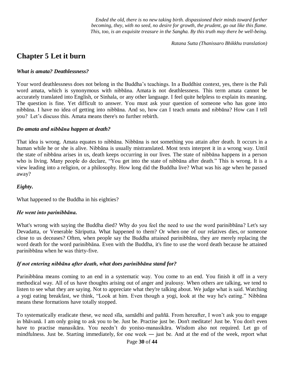*Ended the old, there is no new taking birth. dispassioned their minds toward further becoming, they, with no seed, no desire for growth, the prudent, go out like this flame. This, too, is an exquisite treasure in the Sangha. By this truth may there be well-being.*

*Ratana Sutta (Thanissaro Bhikkhu translation)*

# **Chapter 5 Let it burn**

#### *What is amata? Deathlessness?*

Your word deathlessness does not belong in the Buddha's teachings. In a Buddhist context, yes, there is the Pali word amata, which is synonymous with nibbāna. Amata is not deathlessness. This term amata cannot be accurately translated into English, or Sinhala, or any other language. I feel quite helpless to explain its meaning. The question is fine. Yet difficult to answer. You must ask your question of someone who has gone into nibbāna. I have no idea of getting into nibbāna. And so, how can I teach amata and nibbāna? How can I tell you? Let's discuss this. Amata means there's no further rebirth.

#### *Do amata and nibbāna happen at death?*

That idea is wrong. Amata equates to nibbāna. Nibbāna is not something you attain after death. It occurs in a human while he or she is alive. Nibbāna is usually mistranslated. Most texts interpret it in a wrong way. Until the state of nibbāna arises in us, death keeps occurring in our lives. The state of nibbāna happens in a person who is living. Many people do declare, "You get into the state of nibbāna after death." This is wrong. It is a view leading into a religion, or a philosophy. How long did the Buddha live? What was his age when he passed away?

#### *Eighty.*

What happened to the Buddha in his eighties?

#### *He went into parinibbāna.*

What's wrong with saying the Buddha died? Why do you feel the need to use the word parinibbāna? Let's say Devadatta, or Venerable Sāriputta. What happened to them? Or when one of our relatives dies, or someone close to us deceases? Often, when people say the Buddha attained parinibbāna, they are merely replacing the word death for the word parinibbāna. Even with the Buddha, it's fine to use the word death because he attained parinibbāna when he was thirty-five.

#### *If not entering nibbāna after death, what does parinibbāna stand for?*

Parinibbāna means coming to an end in a systematic way. You come to an end. You finish it off in a very methodical way. All of us have thoughts arising out of anger and jealousy. When others are talking, we tend to listen to see what they are saying. Not to appreciate what they're talking about. We judge what is said. Watching a yogi eating breakfast, we think, "Look at him. Even though a yogi, look at the way he's eating." Nibbāna means these formations have totally stopped.

To systematically eradicate these, we need sīla, samādhi and paññā. From hereafter, I won't ask you to engage in bhāvanā. I am only going to ask you to be. Just be. Practise just be. Don't meditate! Just be. You don't even have to practise manasikāra. You needn't do yoniso-manasikāra. Wisdom also not required. Let go of mindfulness. Just be. Starting immediately, for one week — just be. And at the end of the week, report what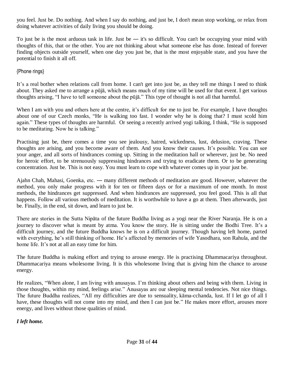you feel. Just be. Do nothing. And when I say do nothing, and just be, I don't mean stop working, or relax from doing whatever activities of daily living you should be doing.

To just be is the most arduous task in life. Just be — it's so difficult. You can't be occupying your mind with thoughts of this, that or the other. You are not thinking about what someone else has done. Instead of forever finding objects outside yourself, when one day you just be, that is the most enjoyable state, and you have the potential to finish it all off.

{Phone rings}

It's a real bother when relations call from home. I can't get into just be, as they tell me things I need to think about. They asked me to arrange a pūjā, which means much of my time will be used for that event. I get various thoughts arising, "I have to tell someone about the pūjā." This type of thought is not all that harmful.

When I am with you and others here at the centre, it's difficult for me to just be. For example, I have thoughts about one of our Czech monks, "He is walking too fast. I wonder why he is doing that? I must scold him again." These types of thoughts are harmful. Or seeing a recently arrived yogi talking, I think, "He is supposed to be meditating. Now he is talking."

Practising just be, there comes a time you see jealousy, hatred, wickedness, lust, delusion, craving. These thoughts are arising, and you become aware of them. And you know their causes. It's possible. You can see your anger, and all sorts of hindrances coming up. Sitting in the meditation hall or wherever, just be. No need for heroic effort, to be strenuously suppressing hindrances and trying to eradicate them. Or to be generating concentration. Just be. This is not easy. You must learn to cope with whatever comes up in your just be.

Ajahn Chah, Mahasi, Goenka, etc. ― many different methods of meditation are good. However, whatever the method, you only make progress with it for ten or fifteen days or for a maximum of one month. In most methods, the hindrances get suppressed. And when hindrances are suppressed, you feel good. This is all that happens. Follow all various methods of meditation. It is worthwhile to have a go at them. Then afterwards, just be. Finally, in the end, sit down, and learn to just be.

There are stories in the Sutta Nipāta of the future Buddha living as a yogi near the River Naranja. He is on a journey to discover what is meant by atma. You know the story. He is sitting under the Bodhi Tree. It's a difficult journey, and the future Buddha knows he is on a difficult journey. Though having left home, parted with everything, he's still thinking of home. He's affected by memories of wife Yasodhara, son Rahula, and the home life. It's not at all an easy time for him.

The future Buddha is making effort and trying to arouse energy. He is practising Dhammacariya throughout. Dhammacariya means wholesome living. It is this wholesome living that is giving him the chance to arouse energy.

He realizes, "When alone, I am living with anusayas. I'm thinking about others and being with them. Living in those thoughts, within my mind, feelings arise." Anusayas are our sleeping mental tendencies. Not nice things. The future Buddha realizes, "All my difficulties are due to sensuality, kāma-cchanda, lust. If I let go of all I have, these thoughts will not come into my mind, and then I can just be." He makes more effort, arouses more energy, and lives without those qualities of mind.

# *I left home.*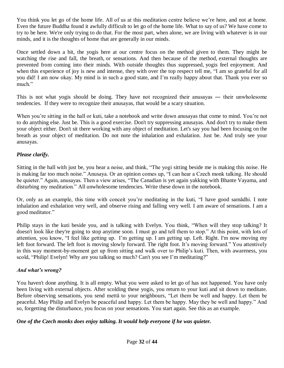You think you let go of the home life. All of us at this meditation centre believe we're here, and not at home. Even the future Buddha found it awfully difficult to let go of the home life. What to say of us? We have come to try to be here. We're only trying to do that. For the most part, when alone, we are living with whatever is in our minds, and it is the thoughts of home that are generally in our minds.

Once settled down a bit, the yogis here at our centre focus on the method given to them. They might be watching the rise and fall, the breath, or sensations. And then because of the method, external thoughts are prevented from coming into their minds. With outside thoughts thus suppressed, yogis feel enjoyment. And when this experience of joy is new and intense, they with over the top respect tell me, "I am so grateful for all you did! I am now okay. My mind is in such a good state, and I'm really happy about that. Thank you ever so much."

This is not what yogis should be doing. They have not recognized their anusayas — their unwholesome tendencies. If they were to recognize their anusayas, that would be a scary situation.

When you're sitting in the hall or kuti, take a notebook and write down anusayas that come to mind. You're not to do anything else. Just be. This is a good exercise. Don't try suppressing anusayas. And don't try to make them your object either. Don't sit there working with any object of meditation. Let's say you had been focusing on the breath as your object of meditation. Do not note the inhalation and exhalation. Just be. And truly see your anusayas.

# *Please clarify.*

Sitting in the hall with just be, you hear a noise, and think, "The yogi sitting beside me is making this noise. He is making far too much noise." Anusaya. Or an opinion comes up, "I can hear a Czech monk talking. He should be quieter." Again, anusayas. Then a view arises, "The Canadian is yet again yakking with Bhante Vayama, and disturbing my meditation." All unwholesome tendencies. Write these down in the notebook.

Or, only as an example, this time with conceit you're meditating in the kuti, "I have good samādhi. I note inhalation and exhalation very well, and observe rising and falling very well. I am aware of sensations. I am a good meditator."

Philip stays in the kuti beside you, and is talking with Evelyn. You think, "When will they stop talking? It doesn't look like they're going to stop anytime soon. I must go and tell them to stop." At this point, with lots of attention, you know, "I feel like getting up. I'm getting up. I am getting up. Left. Right. I'm now moving my left foot forward. The left foot is moving slowly forward. The right foot. It's moving forward." You attentively in this way moment-by-moment get up from sitting and walk over to Philip's kuti. Then, with awareness, you scold, "Philip! Evelyn! Why are you talking so much? Can't you see I'm meditating?"

# *And what's wrong?*

You haven't done anything. It is all empty. What you were asked to let go of has not happened. You have only been living with external objects. After scolding these yogis, you return to your kuti and sit down to meditate. Before observing sensations, you send mettā to your neighbours, "Let them be well and happy. Let them be peaceful. May Philip and Evelyn be peaceful and happy. Let them be happy. May they be well and happy." And so, forgetting the disturbance, you focus on your sensations. You start again. See this as an example.

# *One of the Czech monks does enjoy talking. It would help everyone if he was quieter.*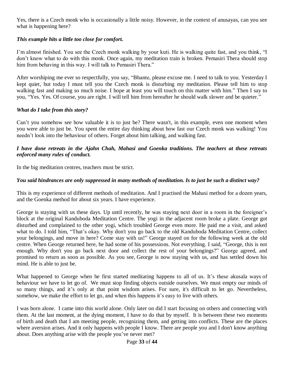Yes, there is a Czech monk who is occasionally a little noisy. However, in the context of anusayas, can you see what is happening here?

#### *This example hits a little too close for comfort.*

I'm almost finished. You see the Czech monk walking by your kuti. He is walking quite fast, and you think, "I don't know what to do with this monk. Once again, my meditation train is broken. Pemasiri Thera should stop him from behaving in this way. I will talk to Pemasiri Thera."

After worshiping me ever so respectfully, you say, "Bhante, please excuse me. I need to talk to you. Yesterday I kept quiet, but today I must tell you the Czech monk is disturbing my meditation. Please tell him to stop walking fast and making so much noise. I hope at least you will touch on this matter with him." Then I say to you, "Yes. Yes. Of course, you are right. I will tell him from hereafter he should walk slower and be quieter."

#### *What do I take from this story?*

Can't you somehow see how valuable it is to just be? There wasn't, in this example, even one moment when you were able to just be. You spent the entire day thinking about how fast our Czech monk was walking! You needn't look into the behaviour of others. Forget about him talking, and walking fast.

#### *I have done retreats in the Ajahn Chah, Mahasi and Goenka traditions. The teachers at these retreats enforced many rules of conduct.*

In the big meditation centres, teachers must be strict.

#### *You said hindrances are only suppressed in many methods of meditation. Is to just be such a distinct way?*

This is my experience of different methods of meditation. And I practised the Mahasi method for a dozen years, and the Goenka method for about six years. I have experience.

George is staying with us these days. Up until recently, he was staying next door in a room in the foreigner's block at the original Kanduboda Meditation Centre. The yogi in the adjacent room broke a plate. George got disturbed and complained to the other yogi, which troubled George even more. He paid me a visit, and asked what to do. I told him, "That's okay. Why don't you go back to the old Kanduboda Meditation Centre, collect your belongings, and move in here? Come stay with us!" George stayed on for the following week at the old centre. When George returned here, he had some of his possessions. Not everything. I said, "George, this is not enough. Why don't you go back next door and collect the rest of your belongings?" George agreed, and promised to return as soon as possible. As you see, George is now staying with us, and has settled down his mind. He is able to just be.

What happened to George when he first started meditating happens to all of us. It's these akusala ways of behaviour we have to let go of. We must stop finding objects outside ourselves. We must empty our minds of so many things, and it's only at that point wisdom arises. For sure, it's difficult to let go. Nevertheless, somehow, we make the effort to let go, and when this happens it's easy to live with others.

I was born alone. I came into this world alone. Only later on did I start focusing on others and connecting with them. At the last moment, at the dying moment, I have to do that by myself. It is between these two moments of birth and death that I am meeting people, recognizing them, and getting into conflicts. These are the places where aversion arises. And it only happens with people I know. There are people you and I don't know anything about. Does anything arise with the people you've never met?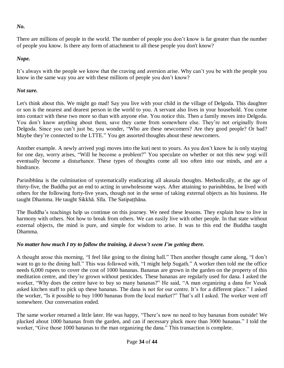*No.* 

There are millions of people in the world. The number of people you don't know is far greater than the number of people you know. Is there any form of attachment to all these people you don't know?

# *Nope.*

It's always with the people we know that the craving and aversion arise. Why can't you be with the people you know in the same way you are with these millions of people you don't know?

# *Not sure.*

Let's think about this. We might go mad! Say you live with your child in the village of Delgoda. This daughter or son is the nearest and dearest person in the world to you. A servant also lives in your household. You come into contact with these two more so than with anyone else. You notice this. Then a family moves into Delgoda. You don't know anything about them, save they came from somewhere else. They're not originally from Delgoda. Since you can't just be, you wonder, "Who are these newcomers? Are they good people? Or bad? Maybe they're connected to the LTTE." You get assorted thoughts about these newcomers.

Another example. A newly arrived yogi moves into the kuti next to yours. As you don't know he is only staying for one day, worry arises, "Will he become a problem?" You speculate on whether or not this new yogi will eventually become a disturbance. These types of thoughts come all too often into our minds, and are a hindrance.

Parinibbāna is the culmination of systematically eradicating all akusala thoughts. Methodically, at the age of thirty-five, the Buddha put an end to acting in unwholesome ways. After attaining to parinibbāna, he lived with others for the following forty-five years, though not in the sense of taking external objects as his business. He taught Dhamma. He taught Sikkhā. Sīla. The Satipatthāna.

The Buddha's teachings help us continue on this journey. We need these lessons. They explain how to live in harmony with others. Not how to break from others. We can easily live with other people. In that state without external objects, the mind is pure, and simple for wisdom to arise. It was to this end the Buddha taught Dhamma.

# *No matter how much I try to follow the training, it doesn't seem I'm getting there.*

A thought arose this morning, "I feel like going to the dining hall." Then another thought came along, "I don't want to go to the dining hall." This was followed with, "I might help Sugath." A worker then told me the office needs 6,000 rupees to cover the cost of 1000 bananas. Bananas are grown in the garden on the property of this meditation centre, and they're grown without pesticides. These bananas are regularly used for dana. I asked the worker, "Why does the centre have to buy so many bananas?" He said, "A man organizing a dana for Vesak asked kitchen staff to pick up these bananas. The dana is not for our centre. It's for a different place." I asked the worker, "Is it possible to buy 1000 bananas from the local market?" That's all I asked. The worker went off somewhere. Our conversation ended.

The same worker returned a little later. He was happy, "There's now no need to buy bananas from outside! We plucked about 1000 bananas from the garden, and can if necessary pluck more than 3000 bananas." I told the worker, "Give those 1000 bananas to the man organizing the dana." This transaction is complete.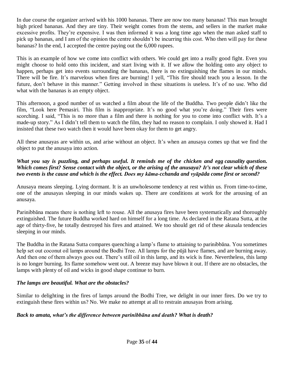In due course the organizer arrived with his 1000 bananas. There are now too many bananas! This man brought high priced bananas. And they are tiny. Their weight comes from the stems, and sellers in the market make excessive profits. They're expensive. I was then informed it was a long time ago when the man asked staff to pick up bananas, and I am of the opinion the centre shouldn't be incurring this cost. Who then will pay for these bananas? In the end, I accepted the centre paying out the 6,000 rupees.

This is an example of how we come into conflict with others. We could get into a really good fight. Even you might choose to hold onto this incident, and start living with it. If we allow the holding onto any object to happen, perhaps get into events surrounding the bananas, there is no extinguishing the flames in our minds. There will be fire. It's marvelous when fires are burning! I yell, "This fire should teach you a lesson. In the future, don't behave in this manner." Getting involved in these situations is useless. It's of no use. Who did what with the bananas is an empty object.

This afternoon, a good number of us watched a film about the life of the Buddha. Two people didn't like the film, "Look here Pemasiri. This film is inappropriate. It's no good what you're doing." Their fires were scorching. I said, "This is no more than a film and there is nothing for you to come into conflict with. It's a made-up story." As I didn't tell them to watch the film, they had no reason to complain. I only showed it. Had I insisted that these two watch then it would have been okay for them to get angry.

All these anusayas are within us, and arise without an object. It's when an anusaya comes up that we find the object to put the anusaya into action.

#### *What you say is puzzling, and perhaps useful. It reminds me of the chicken and egg [causality](https://en.wikipedia.org/wiki/Causality) [question.](https://en.wikipedia.org/wiki/Dilemma) Which comes first? Sense contact with the object, or the arising of the anusaya? It's not clear which of these two events is the cause and which is the effect. Does my kāma-cchanda and vyāpāda come first or second?*

Anusaya means sleeping. Lying dormant. It is an unwholesome tendency at rest within us. From time-to-time, one of the anusayas sleeping in our minds wakes up. There are conditions at work for the arousing of an anusaya.

Parinibbāna means there is nothing left to rouse. All the anusaya fires have been systematically and thoroughly extinguished. The future Buddha worked hard on himself for a long time. As declared in the Ratana Sutta, at the age of thirty-five, he totally destroyed his fires and attained. We too should get rid of these akusala tendencies sleeping in our minds.

The Buddha in the Ratana Sutta compares quenching a lamp's flame to attaining to parinibbāna. You sometimes help set out coconut oil lamps around the Bodhi Tree. All lamps for the pūjā have flames, and are burning away. And then one of them always goes out. There's still oil in this lamp, and its wick is fine. Nevertheless, this lamp is no longer burning. Its flame somehow went out. A breeze may have blown it out. If there are no obstacles, the lamps with plenty of oil and wicks in good shape continue to burn.

# *The lamps are beautiful. What are the obstacles?*

Similar to delighting in the fires of lamps around the Bodhi Tree, we delight in our inner fires. Do we try to extinguish these fires within us? No. We make no attempt at all to restrain anusayas from arising.

#### *Back to amata, what's the difference between parinibbāna and death? What is death?*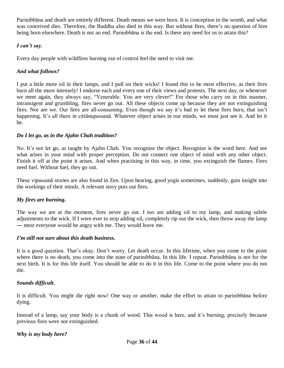Parinibbāna and death are entirely different. Death means we were born. It is conception in the womb, and what was conceived dies. Therefore, the Buddha also died in this way. But without fires, there's no question of him being born elsewhere. Death is not an end. Parinibbāna is the end. Is there any need for us to attain this?

#### *I can't say.*

Every day people with wildfires burning out of control feel the need to visit me.

#### *And what follows?*

I put a little more oil in their lamps, and I pull on their wicks! I found this to be most effective, as their fires burn all the more intensely! I endorse each and every one of their views and protests. The next day, or whenever we meet again, they always say, "Venerable. You are very clever!" For those who carry on in this manner, intransigent and grumbling, fires never go out. All these objects come up because they are not extinguishing fires. Nor are we. Our fires are all-consuming. Even though we say it's bad to let these fires burn, that isn't happening. It's all there in cittānupassanā. Whatever object arises in our minds, we must just see it. And let it be.

#### *Do I let go, as in the Ajahn Chah tradition?*

No. It's not let go, as taught by Ajahn Chah. You recognize the object. Recognize is the word here. And see what arises in your mind with proper perception. Do not connect one object of mind with any other object. Finish it off at the point it arises. And when practising in this way, in time, you extinguish the flames. Fires need fuel. Without fuel, they go out.

These vipassanā stories are also found in Zen. Upon hearing, good yogis sometimes, suddenly, gain insight into the workings of their minds. A relevant story puts out fires.

#### *My fires are burning.*

The way we are at the moment, fires never go out. I too am adding oil to my lamp, and making subtle adjustments to the wick. If I were ever to stop adding oil, completely rip out the wick, then throw away the lamp ― most everyone would be angry with me. They would leave me.

#### *I'm still not sure about this death business.*

It is a good question. That's okay. Don't worry. Let death occur. In this lifetime, when you come to the point where there is no death, you come into the state of parinibbāna. In this life. I repeat. Parinibbāna is not for the next birth. It is for this life itself. You should be able to do it in this life. Come to the point where you do not die.

#### *Sounds difficult.*

It is difficult. You might die right now! One way or another, make the effort to attain to parinibbāna before dying.

Instead of a lamp, say your body is a chunk of wood. This wood is here, and it's burning, precisely because previous fires were not extinguished.

#### *Why is my body here?*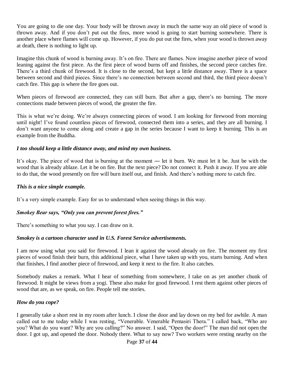You are going to die one day. Your body will be thrown away in much the same way an old piece of wood is thrown away. And if you don't put out the fires, more wood is going to start burning somewhere. There is another place where flames will come up. However, if you do put out the fires, when your wood is thrown away at death, there is nothing to light up.

Imagine this chunk of wood is burning away. It's on fire. There are flames. Now imagine another piece of wood leaning against the first piece. As the first piece of wood burns off and finishes, the second piece catches fire. There's a third chunk of firewood. It is close to the second, but kept a little distance away. There is a space between second and third pieces. Since there's no connection between second and third, the third piece doesn't catch fire. This gap is where the fire goes out.

When pieces of firewood are connected, they can still burn. But after a gap, there's no burning. The more connections made between pieces of wood, the greater the fire.

This is what we're doing. We're always connecting pieces of wood. I am looking for firewood from morning until night! I've found countless pieces of firewood, connected them into a series, and they are all burning. I don't want anyone to come along and create a gap in the series because I want to keep it burning. This is an example from the Buddha.

#### *I too should keep a little distance away, and mind my own business.*

It's okay. The piece of wood that is burning at the moment ― let it burn. We must let it be. Just be with the wood that is already ablaze. Let it be on fire. But the next piece? Do not connect it. Push it away. If you are able to do that, the wood presently on fire will burn itself out, and finish. And there's nothing more to catch fire.

#### *This is a nice simple example.*

It's a very simple example. Easy for us to understand when seeing things in this way.

#### *Smokey Bear says, "Only you can prevent forest fires."*

There's something to what you say. I can draw on it.

#### *Smokey is a cartoon character used in U.S. Forest Service advertisements.*

I am now using what you said for firewood. I lean it against the wood already on fire. The moment my first pieces of wood finish their burn, this additional piece, what I have taken up with you, starts burning. And when that finishes, I find another piece of firewood, and keep it next to the fire. It also catches.

Somebody makes a remark. What I hear of something from somewhere, I take on as yet another chunk of firewood. It might be views from a yogi. These also make for good firewood. I rest them against other pieces of wood that are, as we speak, on fire. People tell me stories.

#### *How do you cope?*

I generally take a short rest in my room after lunch. I close the door and lay down on my bed for awhile. A man called out to me today while I was resting, "Venerable. Venerable Pemasiri Thera." I called back, "Who are you? What do you want? Why are you calling?" No answer. I said, "Open the door!" The man did not open the door. I got up, and opened the door. Nobody there. What to say now? Two workers were resting nearby on the

#### Page **37** of **44**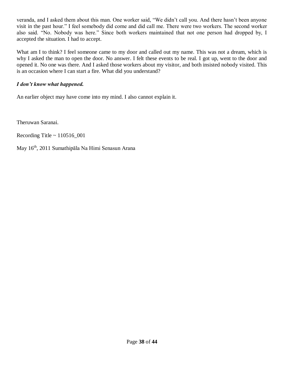veranda, and I asked them about this man. One worker said, "We didn't call you. And there hasn't been anyone visit in the past hour." I feel somebody did come and did call me. There were two workers. The second worker also said. "No. Nobody was here." Since both workers maintained that not one person had dropped by, I accepted the situation. I had to accept.

What am I to think? I feel someone came to my door and called out my name. This was not a dream, which is why I asked the man to open the door. No answer. I felt these events to be real. I got up, went to the door and opened it. No one was there. And I asked those workers about my visitor, and both insisted nobody visited. This is an occasion where I can start a fire. What did you understand?

# *I don't know what happened.*

An earlier object may have come into my mind. I also cannot explain it.

Theruwan Saranai.

Recording Title ~ 110516\_001

May 16th, 2011 Sumathipāla Na Himi Senasun Arana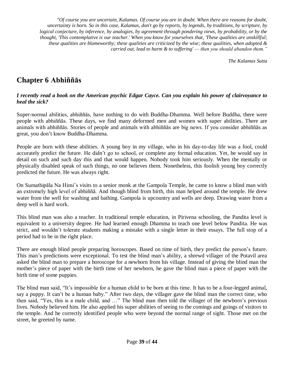*"Of course you are uncertain, Kalamas. Of course you are in doubt. When there are reasons for doubt, uncertainty is born. So in this case, Kalamas, don't go by reports, by legends, by traditions, by scripture, by logical conjecture, by inference, by analogies, by agreement through pondering views, by probability, or by the thought, 'This contemplative is our teacher.' When you know for yourselves that, 'These qualities are unskillful; these qualities are blameworthy; these qualities are criticized by the wise; these qualities, when adopted & carried out, lead to harm & to suffering' — then you should abandon them."*

*The Kalamas Sutta*

# **Chapter 6 Abhiññās**

#### *I recently read a book on the American psychic Edgar Cayce. Can you explain his power of clairvoyance to heal the sick?*

Super-normal abilities, abhiññās, have nothing to do with Buddha-Dhamma. Well before Buddha, there were people with abhiññās. These days, we find many deformed men and women with super abilities. There are animals with abhiññās. Stories of people and animals with abhiññās are big news. If you consider abhiññās as great, you don't know Buddha-Dhamma.

People are born with these abilities. A young boy in my village, who in his day-to-day life was a fool, could accurately predict the future. He didn't go to school, or complete any formal education. Yet, he would say in detail on such and such day this and that would happen. Nobody took him seriously. When the mentally or physically disabled speak of such things, no one believes them. Nonetheless, this foolish young boy correctly predicted the future. He was always right.

On Sumathipāla Na Himi's visits to a senior monk at the Gampola Temple, he came to know a blind man with an extremely high level of abhiññā. And though blind from birth, this man helped around the temple. He drew water from the well for washing and bathing. Gampola is upcountry and wells are deep. Drawing water from a deep well is hard work.

This blind man was also a teacher. In traditional temple education, in Pirivena schooling, the Pandita level is equivalent to a university degree. He had learned enough Dhamma to teach one level below Pandita. He was strict, and wouldn't tolerate students making a mistake with a single letter in their essays. The full stop of a period had to be in the right place.

There are enough blind people preparing horoscopes. Based on time of birth, they predict the person's future. This man's predictions were exceptional. To test the blind man's ability, a shrewd villager of the Potavil area asked the blind man to prepare a horoscope for a newborn from his village. Instead of giving the blind man the mother's piece of paper with the birth time of her newborn, he gave the blind man a piece of paper with the birth time of some puppies.

The blind man said, "It's impossible for a human child to be born at this time. It has to be a four-legged animal, say a puppy. It can't be a human baby." After two days, the villager gave the blind man the correct time, who then said, "Yes, this is a male child, and …" The blind man then told the villager of the newborn's previous lives. Nobody believed him. He also applied his super abilities of seeing to the comings and goings of visitors to the temple. And he correctly identified people who were beyond the normal range of sight. Those met on the street, he greeted by name.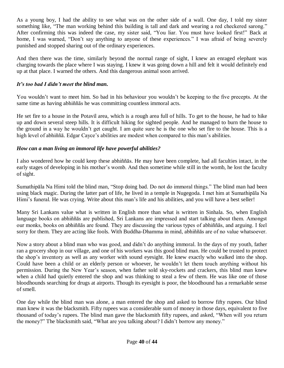As a young boy, I had the ability to see what was on the other side of a wall. One day, I told my sister something like, "The man working behind this building is tall and dark and wearing a red checkered sarong." After confirming this was indeed the case, my sister said, "You liar. You must have looked first!" Back at home, I was warned, "Don't say anything to anyone of these experiences." I was afraid of being severely punished and stopped sharing out of the ordinary experiences.

And then there was the time, similarly beyond the normal range of sight, I knew an enraged elephant was charging towards the place where I was staying. I knew it was going down a hill and felt it would definitely end up at that place. I warned the others. And this dangerous animal soon arrived.

# *It's too bad I didn't meet the blind man.*

You wouldn't want to meet him. So bad in his behaviour you wouldn't be keeping to the five precepts. At the same time as having abhiññās he was committing countless immoral acts.

He set fire to a house in the Potavil area, which is a rough area full of hills. To get to the house, he had to hike up and down several steep hills. It is difficult hiking for sighted people. And he managed to burn the house to the ground in a way he wouldn't get caught. I am quite sure he is the one who set fire to the house. This is a high level of abhiññā. Edgar Cayce's abilities are modest when compared to this man's abilities.

# *How can a man living an immoral life have powerful abilities?*

I also wondered how he could keep these abhiññās. He may have been complete, had all faculties intact, in the early stages of developing in his mother's womb. And then sometime while still in the womb, he lost the faculty of sight.

Sumathipāla Na Himi told the blind man, "Stop doing bad. Do not do immoral things." The blind man had been using black magic. During the latter part of life, he lived in a temple in Nugegoda. I met him at Sumathipāla Na Himi's funeral. He was crying. Write about this man's life and his abilities, and you will have a best seller!

Many Sri Lankans value what is written in English more than what is written in Sinhala. So, when English language books on abhiññās are published, Sri Lankans are impressed and start talking about them. Amongst our monks, books on abhiññās are found. They are discussing the various types of abhiññās, and arguing. I feel sorry for them. They are acting like fools. With Buddha-Dhamma in mind, abhiññās are of no value whatsoever.

Now a story about a blind man who was good, and didn't do anything immoral. In the days of my youth, father ran a grocery shop in our village, and one of his workers was this good blind man. He could be trusted to protect the shop's inventory as well as any worker with sound eyesight. He knew exactly who walked into the shop. Could have been a child or an elderly person or whoever, he wouldn't let them touch anything without his permission. During the New Year's season, when father sold sky-rockets and crackers, this blind man knew when a child had quietly entered the shop and was thinking to steal a few of them. He was like one of those bloodhounds searching for drugs at airports. Though its eyesight is poor, the bloodhound has a remarkable sense of smell.

One day while the blind man was alone, a man entered the shop and asked to borrow fifty rupees. Our blind man knew it was the blacksmith. Fifty rupees was a considerable sum of money in those days, equivalent to five thousand of today's rupees. The blind man gave the blacksmith fifty rupees, and asked, "When will you return the money?" The blacksmith said, "What are you talking about? I didn't borrow any money."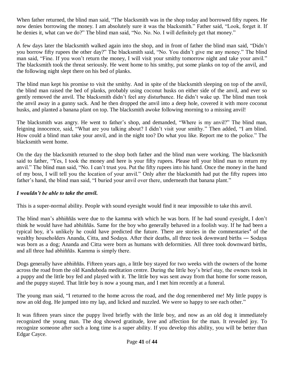When father returned, the blind man said, "The blacksmith was in the shop today and borrowed fifty rupees. He now denies borrowing the money. I am absolutely sure it was the blacksmith." Father said, "Look, forget it. If he denies it, what can we do?" The blind man said, "No. No. No. I will definitely get that money."

A few days later the blacksmith walked again into the shop, and in front of father the blind man said, "Didn't you borrow fifty rupees the other day?" The blacksmith said, "No. You didn't give me any money." The blind man said, "Fine. If you won't return the money, I will visit your smithy tomorrow night and take your anvil." The blacksmith took the threat seriously. He went home to his smithy, put some planks on top of the anvil, and the following night slept there on his bed of planks.

The blind man kept his promise to visit the smithy. And in spite of the blacksmith sleeping on top of the anvil, the blind man raised the bed of planks, probably using coconut husks on either side of the anvil, and ever so gently removed the anvil. The blacksmith didn't feel any disturbance. He didn't wake up. The blind man took the anvil away in a gunny sack. And he then dropped the anvil into a deep hole, covered it with more coconut husks, and planted a banana plant on top. The blacksmith awoke following morning to a missing anvil!

The blacksmith was angry. He went to father's shop, and demanded, "Where is my anvil?" The blind man, feigning innocence, said, "What are you talking about? I didn't visit your smithy." Then added, "I am blind. How could a blind man take your anvil, and in the night too? Do what you like. Report me to the police." The blacksmith went home.

On the day the blacksmith returned to the shop both father and the blind man were working. The blacksmith said to father, "Yes, I took the money and here is your fifty rupees. Please tell your blind man to return my anvil." The blind man said, "No. I can't trust you. Put the fifty rupees into his hand. Once the money in the hand of my boss, I will tell you the location of your anvil." Only after the blacksmith had put the fifty rupees into father's hand, the blind man said, "I buried your anvil over there, underneath that banana plant."

# *I wouldn't be able to take the anvil.*

This is a super-normal ability. People with sound eyesight would find it near impossible to take this anvil.

The blind man's abhiññās were due to the kamma with which he was born. If he had sound eyesight, I don't think he would have had abhiññās. Same for the boy who generally behaved in a foolish way. If he had been a typical boy, it's unlikely he could have predicted the future. There are stories in the commentaries<sup>4</sup> of the wealthy householders Ananda, Citta, and Sodaya. After their deaths, all three took downward births ― Sodaya was born as a dog; Ananda and Citta were born as humans with deformities. All three took downward births, and all three had abhiññās. Kamma is simply there.

Dogs generally have abhiññās. Fifteen years ago, a little boy stayed for two weeks with the owners of the home across the road from the old Kanduboda meditation centre. During the little boy's brief stay, the owners took in a puppy and the little boy fed and played with it. The little boy was sent away from that home for some reason, and the puppy stayed. That little boy is now a young man, and I met him recently at a funeral.

The young man said, "I returned to the home across the road, and the dog remembered me! My little puppy is now an old dog. He jumped into my lap, and licked and nuzzled. We were so happy to see each other."

It was fifteen years since the puppy lived briefly with the little boy, and now as an old dog it immediately recognized the young man. The dog showed gratitude, love and affection for the man. It revealed joy. To recognize someone after such a long time is a super ability. If you develop this ability, you will be better than Edgar Cayce.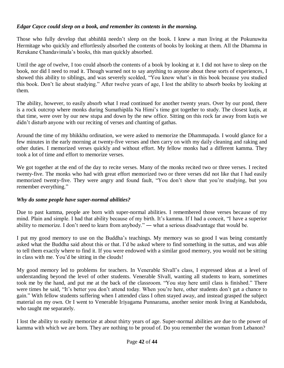#### *Edgar Cayce could sleep on a book, and remember its contents in the morning.*

Those who fully develop that abhiññā needn't sleep on the book. I knew a man living at the Pokunuwita Hermitage who quickly and effortlessly absorbed the contents of books by looking at them. All the Dhamma in Rerukane Chandavimala's books, this man quickly absorbed.

Until the age of twelve, I too could absorb the contents of a book by looking at it. I did not have to sleep on the book, nor did I need to read it. Though warned not to say anything to anyone about these sorts of experiences, I showed this ability to siblings, and was severely scolded, "You know what's in this book because you studied this book. Don't lie about studying." After twelve years of age, I lost the ability to absorb books by looking at them.

The ability, however, to easily absorb what I read continued for another twenty years. Over by our pond, there is a rock outcrop where monks during Sumathipāla Na Himi's time got together to study. The closest kuṭis, at that time, were over by our new stupa and down by the new office. Sitting on this rock far away from kutis we didn't disturb anyone with our reciting of verses and chanting of gathas.

Around the time of my bhikkhu ordination, we were asked to memorize the Dhammapada. I would glance for a few minutes in the early morning at twenty-five verses and then carry on with my daily cleaning and raking and other duties. I memorized verses quickly and without effort. My fellow monks had a different kamma. They took a lot of time and effort to memorize verses.

We got together at the end of the day to recite verses. Many of the monks recited two or three verses. I recited twenty-five. The monks who had with great effort memorized two or three verses did not like that I had easily memorized twenty-five. They were angry and found fault, "You don't show that you're studying, but you remember everything."

#### *Why do some people have super-normal abilities?*

Due to past kamma, people are born with super-normal abilities. I remembered those verses because of my mind. Plain and simple. I had that ability because of my birth. It's kamma. If I had a conceit, "I have a superior ability to memorize. I don't need to learn from anybody." ― what a serious disadvantage that would be.

I put my good memory to use on the Buddha's teachings. My memory was so good I was being constantly asked what the Buddha said about this or that. I'd be asked where to find something in the suttas, and was able to tell them exactly where to find it. If you were endowed with a similar good memory, you would not be sitting in class with me. You'd be sitting in the clouds!

My good memory led to problems for teachers. In Venerable Sīvalī's class, I expressed ideas at a level of understanding beyond the level of other students. Venerable Sīvalī, wanting all students to learn, sometimes took me by the hand, and put me at the back of the classroom. "You stay here until class is finished." There were times he said, "It's better you don't attend today. When you're here, other students don't get a chance to gain." With fellow students suffering when I attended class I often stayed away, and instead grasped the subject material on my own. Or I went to Venerable Iriyagama Punnarama, another senior monk living at Kanduboda, who taught me separately.

I lost the ability to easily memorize at about thirty years of age. Super-normal abilities are due to the power of kamma with which we are born. They are nothing to be proud of. Do you remember the woman from Lebanon?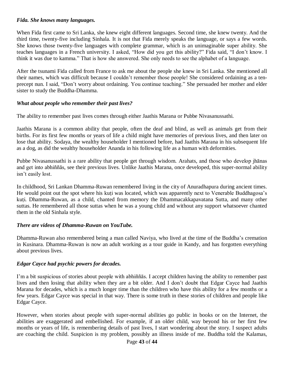#### *Fida. She knows many languages.*

When Fida first came to Sri Lanka, she knew eight different languages. Second time, she knew twenty. And the third time, twenty-five including Sinhala. It is not that Fida merely speaks the language, or says a few words. She knows those twenty-five languages with complete grammar, which is an unimaginable super ability. She teaches languages in a French university. I asked, "How did you get this ability?" Fida said, "I don't know. I think it was due to kamma." That is how she answered. She only needs to see the alphabet of a language.

After the tsunami Fida called from France to ask me about the people she knew in Sri Lanka. She mentioned all their names, which was difficult because I couldn't remember those people! She considered ordaining as a tenprecept nun. I said, "Don't worry about ordaining. You continue teaching." She persuaded her mother and elder sister to study the Buddha-Dhamma.

#### *What about people who remember their past lives?*

The ability to remember past lives comes through either Jaathis Marana or Pubbe Nivasanussathi.

Jaathis Marana is a common ability that people, often the deaf and blind, as well as animals get from their births. For its first few months or years of life a child might have memories of previous lives, and then later on lose that ability. Sodaya, the wealthy householder I mentioned before, had Jaathis Marana in his subsequent life as a dog, as did the wealthy householder Ananda in his following life as a human with deformities.

Pubbe Nivasanussathi is a rare ability that people get through wisdom. Arahats, and those who develop jhānas and get into abhiññās, see their previous lives. Unlike Jaathis Marana, once developed, this super-normal ability isn't easily lost.

In childhood, Sri Lankan Dhamma-Ruwan remembered living in the city of Anuradhapura during ancient times. He would point out the spot where his kuṭi was located, which was apparently next to Venerable Buddhagosa's kuti. Dhamma-Ruwan, as a child, chanted from memory the Dhammacakkapavatana Sutta, and many other suttas. He remembered all those suttas when he was a young child and without any support whatsoever chanted them in the old Sinhala style.

#### *There are videos of Dhamma-Ruwan on YouTube.*

Dhamma-Ruwan also remembered being a man called Naviya, who lived at the time of the Buddha's cremation in Kusinara. Dhamma-Ruwan is now an adult working as a tour guide in Kandy, and has forgotten everything about previous lives.

#### *Edgar Cayce had psychic powers for decades.*

I'm a bit suspicious of stories about people with abhiññās. I accept children having the ability to remember past lives and then losing that ability when they are a bit older. And I don't doubt that Edgar Cayce had Jaathis Marana for decades, which is a much longer time than the children who have this ability for a few months or a few years. Edgar Cayce was special in that way. There is some truth in these stories of children and people like Edgar Cayce.

However, when stories about people with super-normal abilities go public in books or on the Internet, the abilities are exaggerated and embellished. For example, if an older child, way beyond his or her first few months or years of life, is remembering details of past lives, I start wondering about the story. I suspect adults are coaching the child. Suspicion is my problem, possibly an illness inside of me. Buddha told the Kalamas,